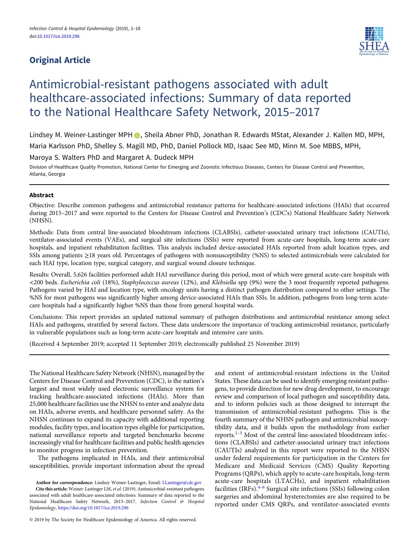# Original Article



# Antimicrobial-resistant pathogens associated with adult healthcare-associated infections: Summary of data reported to the National Healthcare Safety Network, 2015–2017

Lindsey M. Weiner-Lastinger MPH (D. Sheila Abner PhD, Jonathan R. Edwards MStat, Alexander J. Kallen MD, MPH, Maria Karlsson PhD, Shelley S. Magill MD, PhD, Daniel Pollock MD, Isaac See MD, Minn M. Soe MBBS, MPH,

Maroya S. Walters PhD and Margaret A. Dudeck MPH

Division of Healthcare Quality Promotion, National Center for Emerging and Zoonotic Infectious Diseases, Centers for Disease Control and Prevention, Atlanta, Georgia

# Abstract

Objective: Describe common pathogens and antimicrobial resistance patterns for healthcare-associated infections (HAIs) that occurred during 2015–2017 and were reported to the Centers for Disease Control and Prevention's (CDC's) National Healthcare Safety Network (NHSN).

Methods: Data from central line-associated bloodstream infections (CLABSIs), catheter-associated urinary tract infections (CAUTIs), ventilator-associated events (VAEs), and surgical site infections (SSIs) were reported from acute-care hospitals, long-term acute-care hospitals, and inpatient rehabilitation facilities. This analysis included device-associated HAIs reported from adult location types, and SSIs among patients ≥18 years old. Percentages of pathogens with nonsusceptibility (%NS) to selected antimicrobials were calculated for each HAI type, location type, surgical category, and surgical wound closure technique.

Results: Overall, 5,626 facilities performed adult HAI surveillance during this period, most of which were general acute-care hospitals with <200 beds. Escherichia coli (18%), Staphylococcus aureus (12%), and Klebsiella spp (9%) were the 3 most frequently reported pathogens. Pathogens varied by HAI and location type, with oncology units having a distinct pathogen distribution compared to other settings. The %NS for most pathogens was significantly higher among device-associated HAIs than SSIs. In addition, pathogens from long-term acutecare hospitals had a significantly higher %NS than those from general hospital wards.

Conclusions: This report provides an updated national summary of pathogen distributions and antimicrobial resistance among select HAIs and pathogens, stratified by several factors. These data underscore the importance of tracking antimicrobial resistance, particularly in vulnerable populations such as long-term acute-care hospitals and intensive care units.

(Received 4 September 2019; accepted 11 September 2019; electronically published 25 November 2019)

The National Healthcare Safety Network (NHSN), managed by the Centers for Disease Control and Prevention (CDC), is the nation's largest and most widely used electronic surveillance system for tracking healthcare-associated infections (HAIs). More than 25,000 healthcare facilities use the NHSN to enter and analyze data on HAIs, adverse events, and healthcare personnel safety. As the NHSN continues to expand its capacity with additional reporting modules, facility types, and location types eligible for participation, national surveillance reports and targeted benchmarks become increasingly vital for healthcare facilities and public health agencies to monitor progress in infection prevention.

The pathogens implicated in HAIs, and their antimicrobial susceptibilities, provide important information about the spread

Author for correspondence: Lindsey Weiner-Lastinger, Email: [LLastinger@cdc.gov](mailto:LLastinger@cdc.gov) Cite this article: Weiner-Lastinger LM, et al. (2019). Antimicrobial-resistant pathogens associated with adult healthcare-associated infections: Summary of data reported to the National Healthcare Safety Network, 2015-2017. Infection Control & Hospital Epidemiology, <https://doi.org/10.1017/ice.2019.296>

© 2019 by The Society for Healthcare Epidemiology of America. All rights reserved.

and extent of antimicrobial-resistant infections in the United States. These data can be used to identify emerging resistant pathogens, to provide direction for new drug development, to encourage review and comparison of local pathogen and susceptibility data, and to inform policies such as those designed to interrupt the transmission of antimicrobial-resistant pathogens. This is the fourth summary of the NHSN pathogen and antimicrobial susceptibility data, and it builds upon the methodology from earlier reports.[1](#page-14-0)–[3](#page-14-0) Most of the central line-associated bloodstream infections (CLABSIs) and catheter-associated urinary tract infections (CAUTIs) analyzed in this report were reported to the NHSN under federal requirements for participation in the Centers for Medicare and Medicaid Services (CMS) Quality Reporting Programs (QRPs), which apply to acute-care hospitals, long-term acute-care hospitals (LTACHs), and inpatient rehabilitation facilities (IRFs). $4-6$  $4-6$  $4-6$  Surgical site infections (SSIs) following colon surgeries and abdominal hysterectomies are also required to be reported under CMS QRPs, and ventilator-associated events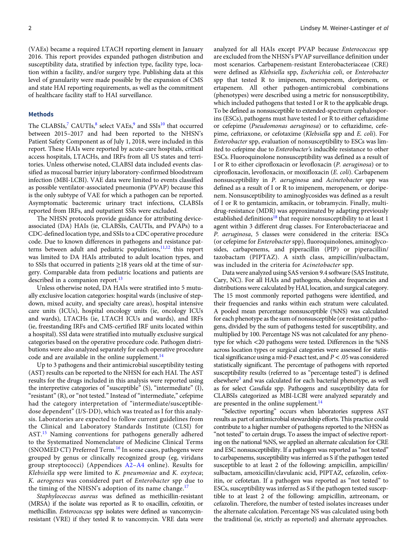(VAEs) became a required LTACH reporting element in January 2016. This report provides expanded pathogen distribution and susceptibility data, stratified by infection type, facility type, location within a facility, and/or surgery type. Publishing data at this level of granularity were made possible by the expansion of CMS and state HAI reporting requirements, as well as the commitment of healthcare facility staff to HAI surveillance.

#### Methods

The CLABSIs,<sup>[7](#page-14-0)</sup> CAUTIs, $8$  select VAEs, $9$  and SSIs<sup>[10](#page-14-0)</sup> that occurred between 2015–2017 and had been reported to the NHSN's Patient Safety Component as of July 1, 2018, were included in this report. These HAIs were reported by acute-care hospitals, critical access hospitals, LTACHs, and IRFs from all US states and territories. Unless otherwise noted, CLABSI data included events classified as mucosal barrier injury laboratory-confirmed bloodstream infection (MBI-LCBI). VAE data were limited to events classified as possible ventilator-associated pneumonia (PVAP) because this is the only subtype of VAE for which a pathogen can be reported. Asymptomatic bacteremic urinary tract infections, CLABSIs reported from IRFs, and outpatient SSIs were excluded.

The NHSN protocols provide guidance for attributing deviceassociated (DA) HAIs (ie, CLABSIs, CAUTIs, and PVAPs) to a CDC-defined location type, and SSIs to a CDC operative procedure code. Due to known differences in pathogens and resistance pat-terns between adult and pediatric populations,<sup>[11,12](#page-14-0)</sup> this report was limited to DA HAIs attributed to adult location types, and to SSIs that occurred in patients ≥18 years old at the time of surgery. Comparable data from pediatric locations and patients are described in a companion report.<sup>[13](#page-14-0)</sup>

Unless otherwise noted, DA HAIs were stratified into 5 mutually exclusive location categories: hospital wards (inclusive of stepdown, mixed acuity, and specialty care areas), hospital intensive care units (ICUs), hospital oncology units (ie, oncology ICUs and wards), LTACHs (ie, LTACH ICUs and wards), and IRFs (ie, freestanding IRFs and CMS-certified IRF units located within a hospital). SSI data were stratified into mutually exclusive surgical categories based on the operative procedure code. Pathogen distributions were also analyzed separately for each operative procedure code and are available in the online supplement. $^{14}$  $^{14}$  $^{14}$ 

Up to 3 pathogens and their antimicrobial susceptibility testing (AST) results can be reported to the NHSN for each HAI. The AST results for the drugs included in this analysis were reported using the interpretive categories of "susceptible" (S), "intermediate" (I), "resistant" (R), or "not tested." Instead of "intermediate," cefepime had the category interpretation of "intermediate/susceptibledose dependent" (I/S-DD), which was treated as I for this analysis. Laboratories are expected to follow current guidelines from the Clinical and Laboratory Standards Institute (CLSI) for AST.[15](#page-15-0) Naming conventions for pathogens generally adhered to the Systematized Nomenclature of Medicine Clinical Terms (SNOMED CT) Preferred Term.<sup>[16](#page-15-0)</sup> In some cases, pathogens were grouped by genus or clinically recognized group (eg, viridans group streptococci) (Appendices [A2](#page-16-0)–[A4](#page-17-0) online). Results for Klebsiella spp were limited to K. pneumoniae and K. oxytoca; K. aerogenes was considered part of Enterobacter spp due to the timing of the NHSN's adoption of its name change.<sup>[17](#page-15-0)</sup>

Staphylococcus aureus was defined as methicillin-resistant (MRSA) if the isolate was reported as R to oxacillin, cefoxitin, or methicillin. Enterococcus spp isolates were defined as vancomycinresistant (VRE) if they tested R to vancomycin. VRE data were analyzed for all HAIs except PVAP because Enterococcus spp are excluded from the NHSN's PVAP surveillance definition under most scenarios. Carbapenem-resistant Enterobacteriaceae (CRE) were defined as Klebsiella spp, Escherichia coli, or Enterobacter spp that tested R to imipenem, meropenem, doripenem, or ertapenem. All other pathogen-antimicrobial combinations (phenotypes) were described using a metric for nonsusceptibility, which included pathogens that tested I or R to the applicable drugs. To be defined as nonsusceptible to extended-spectrum cephalosporins (ESCs), pathogens must have tested I or R to either ceftazidime or cefepime (Pseudomonas aeruginosa) or to ceftazidime, cefepime, ceftriaxone, or cefotaxime (Klebsiella spp and E. coli). For Enterobacter spp, evaluation of nonsusceptibility to ESCs was limited to cefepime due to Enterobacter's inducible resistance to other ESCs. Fluoroquinolone nonsusceptibility was defined as a result of I or R to either ciprofloxacin or levofloxacin (P. aeruginosa) or to ciprofloxacin, levofloxacin, or moxifloxacin (E. coli). Carbapenem nonsusceptibility in P. aeruginosa and Acinetobacter spp was defined as a result of I or R to imipenem, meropenem, or doripenem. Nonsusceptibility to aminoglycosides was defined as a result of I or R to gentamicin, amikacin, or tobramycin. Finally, multidrug-resistance (MDR) was approximated by adapting previously established definitions<sup>[18](#page-15-0)</sup> that require nonsusceptibility to at least 1 agent within 3 different drug classes. For Enterobacteriaceae and P. aeruginosa, 5 classes were considered in the criteria: ESCs (or cefepime for Enterobacter spp), fluoroquinolones, aminoglycosides, carbapenems, and piperacillin (PIP) or piperacillin/ tazobactam (PIPTAZ). A sixth class, ampicillin/sulbactam, was included in the criteria for Acinetobacter spp.

Data were analyzed using SAS version 9.4 software (SAS Institute, Cary, NC). For all HAIs and pathogens, absolute frequencies and distributions were calculated by HAI, location, and surgical category. The 15 most commonly reported pathogens were identified, and their frequencies and ranks within each stratum were calculated. A pooled mean percentage nonsusceptible (%NS) was calculated for each phenotype as the sum of nonsusceptible (or resistant) pathogens, divided by the sum of pathogens tested for susceptibility, and multiplied by 100. Percentage NS was not calculated for any phenotype for which <20 pathogens were tested. Differences in the %NS across location types or surgical categories were assessed for statistical significance using a mid-P exact test, and  $P < 0.05$  was considered statistically significant. The percentage of pathogens with reported susceptibility results (referred to as "percentage tested") is defined elsewhere<sup>3</sup> and was calculated for each bacterial phenotype, as well as for select Candida spp. Pathogens and susceptibility data for CLABSIs categorized as MBI-LCBI were analyzed separately and are presented in the online supplement.<sup>14</sup>

"Selective reporting" occurs when laboratories suppress AST results as part of antimicrobial stewardship efforts. This practice could contribute to a higher number of pathogens reported to the NHSN as "not tested" to certain drugs. To assess the impact of selective reporting on the national %NS, we applied an alternate calculation for CRE and ESC nonsusceptibility. If a pathogen was reported as "not tested" to carbapenems, susceptibility was inferred as S if the pathogen tested susceptible to at least 2 of the following: ampicillin, ampicillin/ sulbactam, amoxicillin/clavulanic acid, PIPTAZ, cefazolin, cefoxitin, or cefotetan. If a pathogen was reported as "not tested" to ESCs, susceptibility was inferred as S if the pathogen tested susceptible to at least 2 of the following: ampicillin, aztreonam, or cefazolin. Therefore, the number of tested isolates increases under the alternate calculation. Percentage NS was calculated using both the traditional (ie, strictly as reported) and alternate approaches.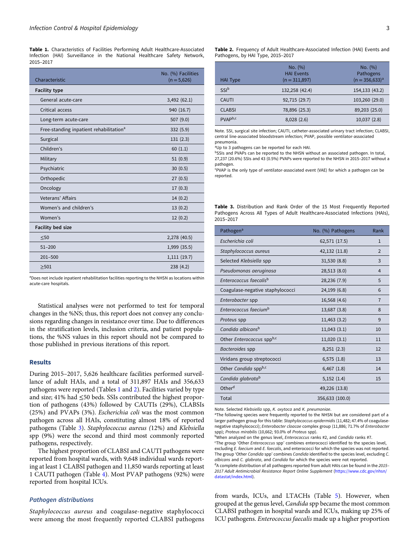Table 1. Characteristics of Facilities Performing Adult Healthcare-Associated Infection (HAI) Surveillance in the National Healthcare Safety Network, 2015–2017

| Characteristic                                      | No. (%) Facilities<br>$(n = 5,626)$ |
|-----------------------------------------------------|-------------------------------------|
| <b>Facility type</b>                                |                                     |
| General acute-care                                  | 3,492 (62.1)                        |
| Critical access                                     | 940 (16.7)                          |
| Long-term acute-care                                | 507(9.0)                            |
| Free-standing inpatient rehabilitation <sup>a</sup> | 332 (5.9)                           |
| Surgical                                            | 131(2.3)                            |
| Children's                                          | 60(1.1)                             |
| Military                                            | 51(0.9)                             |
| Psychiatric                                         | 30(0.5)                             |
| Orthopedic                                          | 27(0.5)                             |
| Oncology                                            | 17(0.3)                             |
| Veterans' Affairs                                   | 14(0.2)                             |
| Women's and children's                              | 13(0.2)                             |
| Women's                                             | 12(0.2)                             |
| <b>Facility bed size</b>                            |                                     |
| $\leq 50$                                           | 2,278 (40.5)                        |
| $51 - 200$                                          | 1,999 (35.5)                        |
| $201 - 500$                                         | 1,111(19.7)                         |
| >501                                                | 238(4.2)                            |

aDoes not include inpatient rehabilitation facilities reporting to the NHSN as locations within acute-care hospitals.

Statistical analyses were not performed to test for temporal changes in the %NS; thus, this report does not convey any conclusions regarding changes in resistance over time. Due to differences in the stratification levels, inclusion criteria, and patient populations, the %NS values in this report should not be compared to those published in previous iterations of this report.

#### Results

During 2015–2017, 5,626 healthcare facilities performed surveillance of adult HAIs, and a total of 311,897 HAIs and 356,633 pathogens were reported (Tables 1 and 2). Facilities varied by type and size; 41% had ≤50 beds. SSIs contributed the highest proportion of pathogens (43%) followed by CAUTIs (29%), CLABSIs (25%) and PVAPs (3%). Escherichia coli was the most common pathogen across all HAIs, constituting almost 18% of reported pathogens (Table 3). Staphylococcus aureus (12%) and Klebsiella spp (9%) were the second and third most commonly reported pathogens, respectively.

The highest proportion of CLABSI and CAUTI pathogens were reported from hospital wards, with 9,648 individual wards reporting at least 1 CLABSI pathogen and 11,850 wards reporting at least 1 CAUTI pathogen (Table [4\)](#page-3-0). Most PVAP pathogens (92%) were reported from hospital ICUs.

#### Pathogen distributions

Staphylococcus aureus and coagulase-negative staphylococci were among the most frequently reported CLABSI pathogens Table 2. Frequency of Adult Healthcare-Associated Infection (HAI) Events and Pathogens, by HAI Type, 2015–2017

| <b>HAI Type</b>     | No. (%)<br><b>HAI Events</b><br>$(n = 311,897)$ | No. (%)<br>Pathogens<br>$(n = 356,633)^{a}$ |
|---------------------|-------------------------------------------------|---------------------------------------------|
| SSI <sup>b</sup>    | 132,258 (42.4)                                  | 154,133 (43.2)                              |
| <b>CAUTI</b>        | 92,715 (29.7)                                   | 103,260 (29.0)                              |
| <b>CLABSI</b>       | 78,896 (25.3)                                   | 89,203 (25.0)                               |
| PVAP <sup>b,c</sup> | 8,028(2.6)                                      | 10,037 (2.8)                                |

Note. SSI, surgical site infection; CAUTI, catheter-associated urinary tract infection; CLABSI, central line-associated bloodstream infection; PVAP, possible ventilator-associated pneumonia.

<sup>a</sup>Up to 3 pathogens can be reported for each HAI.

bSSIs and PVAPs can be reported to the NHSN without an associated pathogen. In total, 27,237 (20.6%) SSIs and 43 (0.5%) PVAPs were reported to the NHSN in 2015–2017 without a pathogen.

c PVAP is the only type of ventilator-associated event (VAE) for which a pathogen can be reported.

Table 3. Distribution and Rank Order of the 15 Most Frequently Reported Pathogens Across All Types of Adult Healthcare-Associated Infections (HAIs), 2015–2017

| Pathogen <sup>a</sup>              | No. (%) Pathogens | Rank           |
|------------------------------------|-------------------|----------------|
| Escherichia coli                   | 62,571 (17.5)     | $\mathbf{1}$   |
| Staphylococcus aureus              | 42,132 (11.8)     | $\overline{2}$ |
| Selected Klebsiella spp            | 31,530 (8.8)      | 3              |
| Pseudomonas aeruginosa             | 28,513 (8.0)      | 4              |
| Enterococcus faecalis <sup>b</sup> | 28,236 (7.9)      | 5              |
| Coagulase-negative staphylococci   | 24,199 (6.8)      | 6              |
| Enterobacter spp                   | 16,568 (4.6)      | $\overline{7}$ |
| Enterococcus faecium <sup>b</sup>  | 13,687 (3.8)      | 8              |
| Proteus spp                        | 11,463 (3.2)      | 9              |
| Candida albicans <sup>b</sup>      | 11,043(3.1)       | 10             |
| Other Enterococcus sppb,c          | 11,020(3.1)       | 11             |
| Bacteroides spp                    | 8,251(2.3)        | 12             |
| Viridans group streptococci        | 6,575(1.8)        | 13             |
| Other Candida sppb,c               | $6,467$ $(1.8)$   | 14             |
| Candida glabrata <sup>b</sup>      | 5,152(1.4)        | 15             |
| Other <sup>d</sup>                 | 49,226 (13.8)     |                |
| Total                              | 356,633 (100.0)   |                |

Note. Selected Klebsiella spp, K. oxytoca and K. pneumoniae.

<sup>a</sup>The following species were frequently reported to the NHSN but are considered part of a larger pathogen group for this table: Staphylococcus epidermidis (11,482; 47.4% of coagulasenegative staphylococci); Enterobacter cloacae complex group (11,886; 71.7% of Enterobacter spp); Proteus mirabilis (10,662; 93.0% of Proteus spp).

bWhen analyzed on the genus level, *Enterococcus* ranks #2, and *Candida* ranks #7.

<sup>c</sup>The group 'Other Enterococcus spp' combines enterococci identified to the species level, excluding E. faecium and E. faecalis, and enterococci for which the species was not reported. The group 'Other Candida spp' combines Candida identified to the species level, excluding C. albicans and C. glabrata, and Candida for which the species were not reported.

 $dA$  complete distribution of all pathogens reported from adult HAIs can be found in the 2015– 2017 Adult Antimicrobial Resistance Report Online Supplement [\(https://www.cdc.gov/nhsn/](https://www.cdc.gov/nhsn/datastat/index.html) [datastat/index.html\)](https://www.cdc.gov/nhsn/datastat/index.html).

from wards, ICUs, and LTACHs (Table [5\)](#page-3-0). However, when grouped at the genus level, Candida spp became the most common CLABSI pathogen in hospital wards and ICUs, making up 25% of ICU pathogens. Enterococcus faecalis made up a higher proportion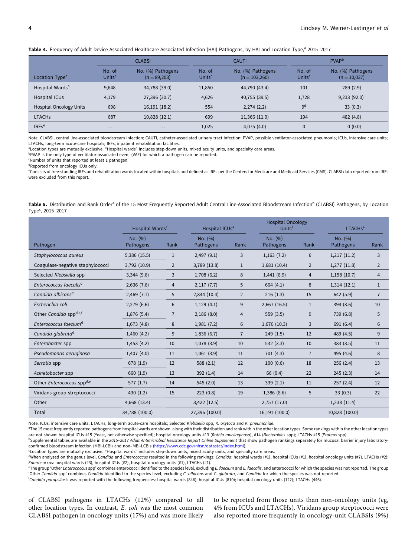<span id="page-3-0"></span>

|  |  | Table 4. Frequency of Adult Device-Associated Healthcare-Associated Infection (HAI) Pathogens, by HAI and Location Type, <sup>a</sup> 2015-2017 |  |  |  |  |  |
|--|--|-------------------------------------------------------------------------------------------------------------------------------------------------|--|--|--|--|--|
|--|--|-------------------------------------------------------------------------------------------------------------------------------------------------|--|--|--|--|--|

|                                | <b>CLABSI</b>                |                                     |                              | <b>CAUTI</b>                         |                              | <b>PVAP</b>                         |  |
|--------------------------------|------------------------------|-------------------------------------|------------------------------|--------------------------------------|------------------------------|-------------------------------------|--|
| Location Type <sup>a</sup>     | No. of<br>Units <sup>c</sup> | No. (%) Pathogens<br>$(n = 89,203)$ | No. of<br>Units <sup>c</sup> | No. (%) Pathogens<br>$(n = 103,260)$ | No. of<br>Units <sup>c</sup> | No. (%) Pathogens<br>$(n = 10,037)$ |  |
| Hospital Wards <sup>a</sup>    | 9,648                        | 34,788 (39.0)                       | 11,850                       | 44,790 (43.4)                        | 101                          | 289(2.9)                            |  |
| Hospital ICUs                  | 4,179                        | 27,396 (30.7)                       | 4,626                        | 40,755 (39.5)                        | 1,728                        | 9,233(92.0)                         |  |
| <b>Hospital Oncology Units</b> | 698                          | 16,191 (18.2)                       | 554                          | 2,274(2.2)                           | 9 <sup>d</sup>               | 33(0.3)                             |  |
| <b>LTACHS</b>                  | 687                          | 10,828 (12.1)                       | 699                          | 11,366 (11.0)                        | 194                          | 482 (4.8)                           |  |
| IRFs <sup>e</sup>              | $\cdots$                     | $\cdots$                            | 1,025                        | 4,075(4.0)                           | $\mathbf{0}$                 | 0(0.0)                              |  |

Note. CLABSI, central line-associated bloodstream infection; CAUTI, catheter-associated urinary tract infection; PVAP, possible ventilator-associated pneumonia; ICUs, intensive care units; LTACHs, long-term acute-care hospitals; IRFs, inpatient rehabilitation facilities.

aLocation types are mutually exclusive. "Hospital wards" includes step-down units, mixed acuity units, and specialty care areas.

bPVAP is the only type of ventilator-associated event (VAE) for which a pathogen can be reported.

c Number of units that reported at least 1 pathogen.

dReported from oncology ICUs only.

e Consists of free-standing IRFs and rehabilitation wards located within hospitals and defined as IRFs per the Centers for Medicare and Medicaid Services (CMS). CLABSI data reported from IRFs were excluded from this report.

| Table 5. Distribution and Rank Order <sup>a</sup> of the 15 Most Frequently Reported Adult Central Line-Associated Bloodstream Infection <sup>b</sup> (CLABSI) Pathogens, by Location |  |  |  |  |
|---------------------------------------------------------------------------------------------------------------------------------------------------------------------------------------|--|--|--|--|
| Type <sup>c</sup> , 2015-2017                                                                                                                                                         |  |  |  |  |

|                                              | Hospital Wards <sup>c</sup> |                | <b>Hospital Oncology</b><br>Hospital ICUs <sup>a</sup><br>Units <sup>a</sup> |                | LTACH <sub>s<sup>a</sup></sub> |                |                      |                |
|----------------------------------------------|-----------------------------|----------------|------------------------------------------------------------------------------|----------------|--------------------------------|----------------|----------------------|----------------|
| Pathogen                                     | No. (%)<br>Pathogens        | Rank           | No. (%)<br>Pathogens                                                         | Rank           | No. (%)<br>Pathogens           | Rank           | No. (%)<br>Pathogens | Rank           |
| Staphylococcus aureus                        | 5,386 (15.5)                | $\mathbf{1}$   | 2,497(9.1)                                                                   | 3              | 1,163(7.2)                     | 6              | 1,217(11.2)          | 3              |
| Coagulase-negative staphylococci             | 3,792 (10.9)                | $\overline{2}$ | 3,789 (13.8)                                                                 | $\mathbf{1}$   | 1,681(10.4)                    | 2              | 1,277(11.8)          | 2              |
| Selected Klebsiella spp                      | 3,344(9.6)                  | 3              | 1,708(6.2)                                                                   | 8              | 1,441(8.9)                     | $\overline{4}$ | 1,158(10.7)          | $\overline{4}$ |
| Enterococcus faecalis <sup>d</sup>           | 2,636(7.6)                  | 4              | 2,117(7.7)                                                                   | 5              | 664(4.1)                       | 8              | 1,314(12.1)          | $\mathbf{1}$   |
| Candida albicans <sup>d</sup>                | 2,469(7.1)                  | 5              | 2,844 (10.4)                                                                 | 2              | 216(1.3)                       | 15             | 642 (5.9)            | $\overline{7}$ |
| Escherichia coli                             | 2,279(6.6)                  | 6              | 1,129(4.1)                                                                   | 9              | $2,667$ (16.5)                 | $\mathbf{1}$   | 394(3.6)             | 10             |
| Other Candida sppd,e,f                       | 1,876(5.4)                  | $\overline{7}$ | 2,186(8.0)                                                                   | $\overline{4}$ | 559(3.5)                       | 9              | 739 (6.8)            | 5              |
| Enterococcus faecium <sup>d</sup>            | 1,673(4.8)                  | 8              | 1,981(7.2)                                                                   | 6              | 1,670(10.3)                    | 3              | 691 (6.4)            | 6              |
| Candida glabrata <sup>d</sup>                | 1,460(4.2)                  | 9              | 1,836(6.7)                                                                   | $\overline{7}$ | 249(1.5)                       | 12             | 489 (4.5)            | 9              |
| Enterobacter spp                             | 1,453(4.2)                  | 10             | 1,078(3.9)                                                                   | 10             | 532(3.3)                       | 10             | 383(3.5)             | 11             |
| Pseudomonas aeruginosa                       | 1,407(4.0)                  | 11             | 1,061(3.9)                                                                   | 11             | 701(4.3)                       | $\overline{7}$ | 495 (4.6)            | 8              |
| Serratia spp                                 | 678 (1.9)                   | 12             | 588(2.1)                                                                     | 12             | 100(0.6)                       | 18             | 256(2.4)             | 13             |
| Acinetobacter spp                            | 660 (1.9)                   | 13             | 392 (1.4)                                                                    | 14             | 66 (0.4)                       | 22             | 245(2.3)             | 14             |
| Other <i>Enterococcus</i> spp <sup>d,e</sup> | 577(1.7)                    | 14             | 545(2.0)                                                                     | 13             | 339(2.1)                       | 11             | 257(2.4)             | 12             |
| Viridans group streptococci                  | 430(1.2)                    | 15             | 223(0.8)                                                                     | 19             | 1,386(8.6)                     | 5              | 33(0.3)              | 22             |
| Other                                        | 4,668 (13.4)                |                | $3,422$ (12.5)                                                               |                | 2,757(17.0)                    |                | 1,238(11.4)          |                |
| Total                                        | 34,788 (100.0)              |                | 27,396 (100.0)                                                               |                | 16,191 (100.0)                 |                | 10,828 (100.0)       |                |

Note. ICUs, intensive care units; LTACHs, long-term acute-care hospitals; Selected Klebsiella spp, K. oxytoca and K. pneumoniae.

<sup>a</sup>The 15 most frequently reported pathogens from hospital wards are shown, along with their distribution and rank within the other location types. Some rankings within the other location types are not shown: hospital ICUs #15 (Yeast, not otherwise specified); hospital oncology units #13 (Rothia mucilaginosa), #14 (Bacteroides spp); LTACHs #15 (Proteus spp).

bSupplemental tables are available in the 2015-2017 Adult Antimicrobial Resistance Report Online Supplement that show pathogen rankings separately for mucosal barrier injury laboratoryconfirmed bloodstream infection (MBI-LCBI) and non–MBI-LCBIs ([https://www.cdc.gov/nhsn/datastat/index.html\)](https://www.cdc.gov/nhsn/datastat/index.html).

c Location types are mutually exclusive. "Hospital wards" includes step-down units, mixed acuity units, and specialty care areas.

<sup>d</sup>When analyzed on the genus level, Candida and Enterococcus resulted in the following rankings: Candida: hospital wards (#1), hospital ICUs (#1), hospital oncology units (#7), LTACHs (#2); Enterococcus: hospital wards (#3), hospital ICUs (#2), hospital oncology units (#1), LTACHs (#1).

<sup>e</sup>The group 'Other Enterococcus spp' combines enterococci identified to the species level, excluding E. faecium and E. faecalis, and enterococci for which the species was not reported. The group 'Other Candida spp' combines Candida identified to the species level, excluding C. albicans and C. glabrata, and Candida for which the species was not reported.

<sup>f</sup>Candida parapsilosis was reported with the following frequencies: hospital wards (846); hospital LCUs (810); hospital oncology units (122); LTACHs (446).

of CLABSI pathogens in LTACHs (12%) compared to all other location types. In contrast, E. coli was the most common CLABSI pathogen in oncology units (17%) and was more likely

to be reported from those units than non-oncology units (eg, 4% from ICUs and LTACHs). Viridans group streptococci were also reported more frequently in oncology-unit CLABSIs (9%)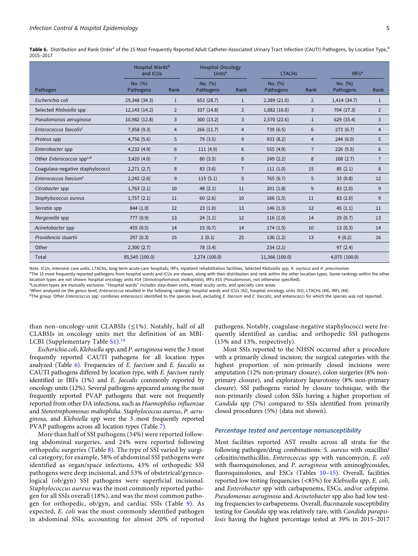Table 6. Distribution and Rank Order<sup>a</sup> of the 15 Most Frequently Reported Adult Catheter-Associated Urinary Tract Infection (CAUTI) Pathogens, by Location Type,<sup>b</sup> 2015–2017

|                                       | Hospital Wards <sup>b</sup><br><b>Hospital Oncology</b><br>Units <sup>a</sup><br>and ICUs |                |                      | <b>LTACHs</b>  | IRFs <sup>a</sup>    |                |                      |                |
|---------------------------------------|-------------------------------------------------------------------------------------------|----------------|----------------------|----------------|----------------------|----------------|----------------------|----------------|
| Pathogen                              | No. (%)<br>Pathogens                                                                      | Rank           | No. (%)<br>Pathogens | Rank           | No. (%)<br>Pathogens | Rank           | No. (%)<br>Pathogens | Rank           |
| Escherichia coli                      | 29,348 (34.3)                                                                             | $\mathbf{1}$   | 653 (28.7)           | $\mathbf{1}$   | 2,389(21.0)          | $\overline{2}$ | 1,414(34.7)          | $\mathbf{1}$   |
| Selected Klebsiella spp               | 12,143 (14.2)                                                                             | $\overline{2}$ | 337 (14.8)           | $\overline{2}$ | 1,882(16.6)          | 3              | 704 (17.3)           | $\overline{2}$ |
| Pseudomonas aeruginosa                | 10,982 (12.8)                                                                             | 3              | 300 (13.2)           | 3              | 2,570 (22.6)         | $\mathbf{1}$   | 629 (15.4)           | 3              |
| Enterococcus faecalis <sup>c</sup>    | 7,958 (9.3)                                                                               | $\overline{4}$ | 266(11.7)            | 4              | 739 (6.5)            | 6              | 273(6.7)             | 4              |
| Proteus spp                           | 4,756 (5.6)                                                                               | 5              | 79(3.5)              | 9              | 933 (8.2)            | $\overline{4}$ | 244(6.0)             | 5              |
| Enterobacter spp                      | 4,232(4.9)                                                                                | 6              | 111(4.9)             | 6              | 555 (4.9)            | $\overline{7}$ | 226(5.5)             | 6              |
| Other Enterococcus spp <sup>c,d</sup> | 3,420(4.0)                                                                                | $\overline{7}$ | 80(3.5)              | 8              | 249(2.2)             | 8              | 108(2.7)             | $\overline{7}$ |
| Coagulase-negative staphylococci      | 2,271(2.7)                                                                                | 8              | 83(3.6)              | $\overline{7}$ | 111(1.0)             | 15             | 85(2.1)              | 8              |
| Enterococcus faecium <sup>c</sup>     | 2,242(2.6)                                                                                | 9              | 115(5.1)             | 5              | 765 (6.7)            | 5              | 33(0.8)              | 12             |
| Citrobacter spp                       | 1,763(2.1)                                                                                | 10             | 48(2.1)              | 11             | 201(1.8)             | 9              | 83(2.0)              | 9              |
| Staphylococcus aureus                 | 1,757(2.1)                                                                                | 11             | 60(2.6)              | 10             | 166(1.5)             | 11             | 83(2.0)              | 9              |
| Serratia spp                          | 844 (1.0)                                                                                 | 12             | 23(1.0)              | 13             | 146(1.3)             | 12             | 45(1.1)              | 11             |
| Morganella spp                        | 777 (0.9)                                                                                 | 13             | 24(1.1)              | 12             | 116(1.0)             | 14             | 29(0.7)              | 13             |
| Acinetobacter spp                     | 455(0.5)                                                                                  | 14             | 15(0.7)              | 14             | 174(1.5)             | 10             | 13(0.3)              | 14             |
| Providencia stuartii                  | 297(0.3)                                                                                  | 15             | 2(0.1)               | 25             | 136(1.2)             | 13             | 9(0.2)               | 16             |
| Other                                 | 2,300(2.7)                                                                                |                | 78 (3.4)             |                | 234(2.1)             |                | 97(2.4)              |                |
| Total                                 | 85,545 (100.0)                                                                            |                | 2,274 (100.0)        |                | 11,366 (100.0)       |                | 4,075 (100.0)        |                |

Note. ICUs, intensive care units; LTACHs, long-term acute-care hospitals; IRFs, inpatient rehabilitation facilities; Selected Klebsiella spp, K. oxytoca and K. pneumoniae.

<sup>a</sup>The 15 most frequently reported pathogens from hospital wards and ICUs are shown, along with their distribution and rank within the other location types. Some rankings within the other location types are not shown: hospital oncology units #14 (Stenotrophomonas maltophilia); IRFs #15 (Pseudomonas, not otherwise specified).

bLocation types are mutually exclusive. "Hospital wards" includes step-down units, mixed acuity units, and specialty care areas.

c When analyzed on the genus level, Enterococcus resulted in the following rankings: hospital wards and ICUs (#2), hospital oncology units (#2), LTACHs (#4), IRFs (#4).

<sup>d</sup>The group 'Other Enterococcus spp' combines enterococci identified to the species level, excluding E. faecium and E. faecalis, and enterococci for which the species was not reported.

than non–oncology-unit CLABSIs  $(\leq 1\%)$ . Notably, half of all CLABSIs in oncology units met the definition of an MBI-LCBI (Supplementary Table  $S1$ ).<sup>[14](#page-14-0)</sup>

Escherichia coli, Klebsiella spp, and P. aeruginosa were the 3 most frequently reported CAUTI pathogens for all location types analyzed (Table  $6$ ). Frequencies of E. faecium and E. faecalis as CAUTI pathogens differed by location type, with E. faecium rarely identified in IRFs (1%) and E. faecalis commonly reported by oncology units (12%). Several pathogens appeared among the most frequently reported PVAP pathogens that were not frequently reported from other DA infections, such as Haemophilus influenzae and Stenotrophomonas maltophilia. Staphylococcus aureus, P. aeruginosa, and Klebsiella spp were the 3 most frequently reported PVAP pathogens across all location types (Table [7\)](#page-5-0).

More than half of SSI pathogens (54%) were reported following abdominal surgeries, and 24% were reported following orthopedic surgeries (Table [8](#page-6-0)). The type of SSI varied by surgical category; for example, 58% of abdominal SSI pathogens were identified as organ/space infections, 43% of orthopedic SSI pathogens were deep incisional, and 53% of obstetrical/gynecological (ob/gyn) SSI pathogens were superficial incisional. Staphylococcus aureus was the most commonly reported pathogen for all SSIs overall (18%), and was the most common pathogen for orthopedic, ob/gyn, and cardiac SSIs (Table [9](#page-7-0)). As expected, E. coli was the most commonly identified pathogen in abdominal SSIs, accounting for almost 20% of reported pathogens. Notably, coagulase-negative staphylococci were frequently identified as cardiac and orthopedic SSI pathogens (15% and 13%, respectively).

Most SSIs reported to the NHSN occurred after a procedure with a primarily closed incision; the surgical categories with the highest proportion of non-primarily closed incisions were amputation (12% non-primary closure), colon surgeries (8% nonprimary closure), and exploratory laparotomy (8% non-primary closure). SSI pathogens varied by closure technique, with the non-primarily closed colon SSIs having a higher proportion of Candida spp (7%) compared to SSIs identified from primarily closed procedures (5%) (data not shown).

#### Percentage tested and percentage nonsusceptibility

Most facilities reported AST results across all strata for the following pathogen/drug combinations: S. aureus with oxacillin/ cefoxitin/methicillin, Enterococcus spp with vancomycin, E. coli with fluoroquinolones, and P. aeruginosa with aminoglycosides, fluoroquinolones, and ESCs (Tables [10](#page-8-0)–[15](#page-13-0)). Overall, facilities reported low testing frequencies (<85%) for Klebsiella spp, E. coli, and Enterobacter spp with carbapenems, ESCs, and/or cefepime. Pseudomonas aeruginosa and Acinetobacter spp also had low testing frequencies to carbapenems. Overall, fluconazole susceptibility testing for Candida spp was relatively rare, with Candida parapsilosis having the highest percentage tested at 39% in 2015–2017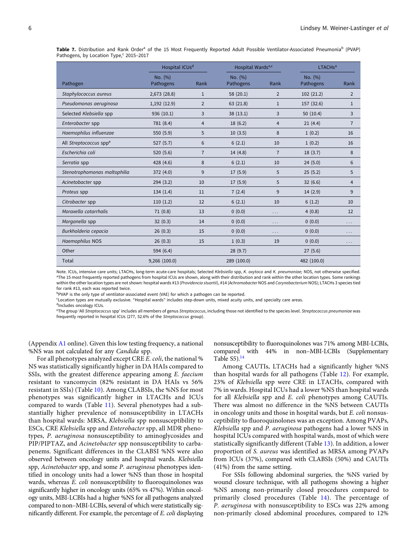<span id="page-5-0"></span>Table 7. Distribution and Rank Order<sup>a</sup> of the 15 Most Frequently Reported Adult Possible Ventilator-Associated Pneumonia<sup>b</sup> (PVAP) Pathogens, by Location Type,<sup>c</sup> 2015-2017

|                                    | Hospital ICUs <sup>d</sup> |                | Hospital Wards <sup>a,c</sup> |                | LTACHs <sup>a</sup>  |                |
|------------------------------------|----------------------------|----------------|-------------------------------|----------------|----------------------|----------------|
| Pathogen                           | No. (%)<br>Pathogens       | Rank           | No. (%)<br>Pathogens          | Rank           | No. (%)<br>Pathogens | Rank           |
| Staphylococcus aureus              | 2,673 (28.8)               | $\mathbf{1}$   | 58 (20.1)                     | $\overline{2}$ | 102(21.2)            | $\overline{2}$ |
| Pseudomonas aeruginosa             | 1,192(12.9)                | $\overline{2}$ | 63 (21.8)                     | $\mathbf{1}$   | 157 (32.6)           | $\mathbf{1}$   |
| Selected Klebsiella spp            | 936 (10.1)                 | 3              | 38(13.1)                      | 3              | 50(10.4)             | 3              |
| Enterobacter spp                   | 781 (8.4)                  | $\overline{4}$ | 18(6.2)                       | $\overline{4}$ | 21(4.4)              | $\overline{7}$ |
| Haemophilus influenzae             | 550 (5.9)                  | 5              | 10(3.5)                       | 8              | 1(0.2)               | 16             |
| All Streptococcus spp <sup>e</sup> | 527(5.7)                   | 6              | 6(2.1)                        | 10             | 1(0.2)               | 16             |
| Escherichia coli                   | 520 (5.6)                  | $\overline{7}$ | 14(4.8)                       | $\overline{7}$ | 18(3.7)              | 8              |
| Serratia spp                       | 428 (4.6)                  | 8              | 6(2.1)                        | 10             | 24(5.0)              | 6              |
| Stenotrophomonas maltophilia       | 372 (4.0)                  | 9              | 17(5.9)                       | 5              | 25(5.2)              | 5              |
| Acinetobacter spp                  | 294(3.2)                   | 10             | 17(5.9)                       | 5              | 32(6.6)              | 4              |
| Proteus spp                        | 134(1.4)                   | 11             | 7(2.4)                        | 9              | 14(2.9)              | 9              |
| Citrobacter spp                    | 110(1.2)                   | 12             | 6(2.1)                        | 10             | 6(1.2)               | 10             |
| Moraxella catarrhalis              | 71(0.8)                    | 13             | 0(0.0)                        | $\cdots$       | 4(0.8)               | 12             |
| Morganella spp                     | 32(0.3)                    | 14             | 0(0.0)                        | $\cdots$       | 0(0.0)               | .              |
| Burkholderia cepacia               | 26(0.3)                    | 15             | 0(0.0)                        | $\cdots$       | 0(0.0)               | $\cdots$       |
| Haemophilus NOS                    | 26(0.3)                    | 15             | 1(0.3)                        | 19             | 0(0.0)               | $\cdots$       |
| Other                              | 594 (6.4)                  |                | 28(9.7)                       |                | 27(5.6)              |                |
| Total                              | 9,266 (100.0)              |                | 289 (100.0)                   |                | 482 (100.0)          |                |

Note. ICUs, intensive care units; LTACHs, long-term acute-care hospitals; Selected Klebsiella spp, K. oxytoca and K. pneumoniae; NOS, not otherwise specified. <sup>a</sup>The 15 most frequently reported pathogens from hospital ICUs are shown, along with their distribution and rank within the other location types. Some rankings within the other location types are not shown: hospital wards #13 (Providencia stuartii), #14 (Achromobacter NOS and Corynebacterium NOS); LTACHs 3 species tied for rank #13, each was reported twice.

bPVAP is the only type of ventilator-associated event (VAE) for which a pathogen can be reported.

c Location types are mutually exclusive. "Hospital wards" includes step-down units, mixed acuity units, and specialty care areas.

dIncludes oncology ICUs.

<sup>e</sup>The group 'All Streptococcus spp' includes all members of genus Streptococcus, including those not identified to the species level. Streptococcus pneumoniae was frequently reported in hospital ICUs (277, 52.6% of the Streptococcus group).

(Appendix [A1](#page-16-0) online). Given this low testing frequency, a national %NS was not calculated for any Candida spp.

For all phenotypes analyzed except CRE E. coli, the national % NS was statistically significantly higher in DA HAIs compared to SSIs, with the greatest difference appearing among E. faecium resistant to vancomycin (82% resistant in DA HAIs vs 56% resistant in SSIs) (Table [10](#page-8-0)). Among CLABSIs, the %NS for most phenotypes was significantly higher in LTACHs and ICUs compared to wards (Table [11\)](#page-9-0). Several phenotypes had a substantially higher prevalence of nonsusceptibility in LTACHs than hospital wards: MRSA, Klebsiella spp nonsusceptibility to ESCs, CRE Klebsiella spp and Enterobacter spp, all MDR phenotypes, P. aeruginosa nonsusceptibility to aminoglycosides and PIP/PIPTAZ, and Acinetobacter spp nonsusceptibility to carbapenems. Significant differences in the CLABSI %NS were also observed between oncology units and hospital wards. Klebsiella spp, Acinetobacter spp, and some P. aeruginosa phenotypes identified in oncology units had a lower %NS than those in hospital wards, whereas E. coli nonsusceptibility to fluoroquinolones was significantly higher in oncology units (65% vs 47%). Within oncology units, MBI-LCBIs had a higher %NS for all pathogens analyzed compared to non–MBI-LCBIs, several of which were statistically significantly different. For example, the percentage of E. coli displaying

nonsusceptibility to fluoroquinolones was 71% among MBI-LCBIs, compared with 44% in non–MBI-LCBIs (Supplementary Table  $S5$ ).<sup>[14](#page-14-0)</sup>

Among CAUTIs, LTACHs had a significantly higher %NS than hospital wards for all pathogens (Table [12\)](#page-10-0). For example, 23% of Klebsiella spp were CRE in LTACHs, compared with 7% in wards. Hospital ICUs had a lower %NS than hospital wards for all Klebsiella spp and E. coli phenotypes among CAUTIs. There was almost no difference in the %NS between CAUTIs in oncology units and those in hospital wards, but E. coli nonsusceptibility to fluoroquinolones was an exception. Among PVAPs, Klebsiella spp and P. aeruginosa pathogens had a lower %NS in hospital ICUs compared with hospital wards, most of which were statistically significantly different (Table [13\)](#page-11-0). In addition, a lower proportion of S. aureus was identified as MRSA among PVAPs from ICUs (37%), compared with CLABSIs (50%) and CAUTIs (41%) from the same setting.

For SSIs following abdominal surgeries, the %NS varied by wound closure technique, with all pathogens showing a higher %NS among non-primarily closed procedures compared to primarily closed procedures (Table [14](#page-12-0)). The percentage of P. aeruginosa with nonsusceptibility to ESCs was 22% among non-primarily closed abdominal procedures, compared to 12%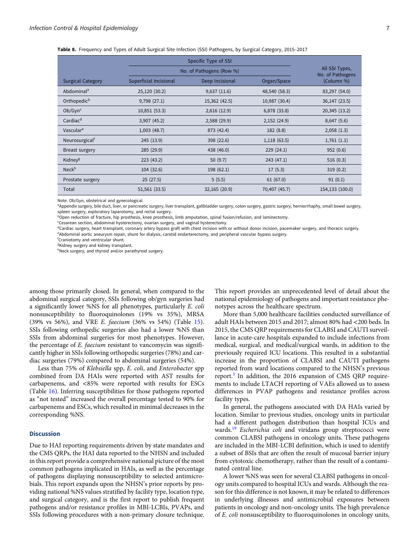|                            |                        | No. of Pathogens (Row %) |               |                                |  |  |  |  |  |  |
|----------------------------|------------------------|--------------------------|---------------|--------------------------------|--|--|--|--|--|--|
| <b>Surgical Category</b>   | Superficial Incisional | Deep Incisional          | Organ/Space   | No. of Pathogens<br>(Column %) |  |  |  |  |  |  |
| Abdominal <sup>a</sup>     | 25,120 (30.2)          | 9,637(11.6)              | 48,540 (58.3) | 83,297 (54.0)                  |  |  |  |  |  |  |
| Orthopedic <sup>b</sup>    | 9,798(27.1)            | 15,362 (42.5)            | 10,987 (30.4) | 36,147 (23.5)                  |  |  |  |  |  |  |
| Ob/Gyn <sup>c</sup>        | 10,851 (53.3)          | 2,616(12.9)              | 6,878 (33.8)  | 20,345 (13.2)                  |  |  |  |  |  |  |
| Cardiac <sup>d</sup>       | 3,907 (45.2)           | 2,588 (29.9)             | 2,152(24.9)   | 8,647(5.6)                     |  |  |  |  |  |  |
| Vasculare                  | 1,003(48.7)            | 873 (42.4)               | 182 (8.8)     | 2,058(1.3)                     |  |  |  |  |  |  |
| Neurosurgical <sup>†</sup> | 245 (13.9)             | 398 (22.6)               | 1,118(63.5)   | 1,761(1.1)                     |  |  |  |  |  |  |
| Breast surgery             | 285(29.9)              | 438 (46.0)               | 229(24.1)     | 952(0.6)                       |  |  |  |  |  |  |
| Kidney <sup>g</sup>        | 223(43.2)              | 50 $(9.7)$               | 243 (47.1)    | 516(0.3)                       |  |  |  |  |  |  |
| Neck <sup>h</sup>          | 104(32.6)              | 198 (62.1)               | 17(5.3)       | 319(0.2)                       |  |  |  |  |  |  |
| Prostate surgery           | 25(27.5)               | 5(5.5)                   | 61(67.0)      | 91(0.1)                        |  |  |  |  |  |  |
| Total                      | 51,561 (33.5)          | 32,165 (20.9)            | 70,407 (45.7) | 154,133 (100.0)                |  |  |  |  |  |  |

<span id="page-6-0"></span>Table 8. Frequency and Types of Adult Surgical Site Infection (SSI) Pathogens, by Surgical Category, 2015–2017

Note. Ob/Gyn, obstetrical and gynecological.

a Appendix surgery, bile duct, liver, or pancreatic surgery, liver transplant, gallbladder surgery, colon surgery, gastric surgery, herniorrhaphy, small bowel surgery, spleen surgery, exploratory laparotomy, and rectal surgery.

bOpen reduction of fracture, hip prosthesis, knee prosthesis, limb amputation, spinal fusion/refusion, and laminectomy.

<sup>c</sup>Cesarean section, abdominal hysterectomy, ovarian surgery, and vaginal hysterectomy.

dCardiac surgery, heart transplant, coronary artery bypass graft with chest incision with or without donor incision, pacemaker surgery, and thoracic surgery. e Abdominal aortic aneurysm repair, shunt for dialysis, carotid endarterectomy, and peripheral vascular bypass surgery.

f Craniotomy and ventricular shunt.

<sup>g</sup>Kidney surgery and kidney transplant.

hNeck surgery, and thyroid and/or parathyroid surgery.

among those primarily closed. In general, when compared to the abdominal surgical category, SSIs following ob/gyn surgeries had a significantly lower %NS for all phenotypes, particularly E. coli nonsusceptibility to fluoroquinolones (19% vs 35%), MRSA (39% vs 56%), and VRE E. faecium (36% vs 54%) (Table [15\)](#page-13-0). SSIs following orthopedic surgeries also had a lower %NS than SSIs from abdominal surgeries for most phenotypes. However, the percentage of E. faecium resistant to vancomycin was significantly higher in SSIs following orthopedic surgeries (78%) and cardiac surgeries (79%) compared to abdominal surgeries (54%).

Less than 75% of Klebsiella spp, E. coli, and Enterobacter spp combined from DA HAIs were reported with AST results for carbapenems, and <85% were reported with results for ESCs (Table [16](#page-14-0)). Inferring susceptibilities for those pathogens reported as "not tested" increased the overall percentage tested to 90% for carbapenems and ESCs, which resulted in minimal decreases in the corresponding %NS.

### **Discussion**

Due to HAI reporting requirements driven by state mandates and the CMS QRPs, the HAI data reported to the NHSN and included in this report provide a comprehensive national picture of the most common pathogens implicated in HAIs, as well as the percentage of pathogens displaying nonsusceptibility to selected antimicrobials. This report expands upon the NHSN's prior reports by providing national %NS values stratified by facility type, location type, and surgical category, and is the first report to publish frequent pathogens and/or resistance profiles in MBI-LCBIs, PVAPs, and SSIs following procedures with a non-primary closure technique.

This report provides an unprecedented level of detail about the national epidemiology of pathogens and important resistance phenotypes across the healthcare spectrum.

More than 5,000 healthcare facilities conducted surveillance of adult HAIs between 2015 and 2017; almost 80% had <200 beds. In 2015, the CMS QRP requirements for CLABSI and CAUTI surveillance in acute-care hospitals expanded to include infections from medical, surgical, and medical/surgical wards, in addition to the previously required ICU locations. This resulted in a substantial increase in the proportion of CLABSI and CAUTI pathogens reported from ward locations compared to the NHSN's previous report.<sup>[3](#page-14-0)</sup> In addition, the 2016 expansion of CMS QRP requirements to include LTACH reporting of VAEs allowed us to assess differences in PVAP pathogens and resistance profiles across facility types.

In general, the pathogens associated with DA HAIs varied by location. Similar to previous studies, oncology units in particular had a different pathogen distribution than hospital ICUs and wards.<sup>[19](#page-15-0)</sup> Escherichia coli and viridans group streptococci were common CLABSI pathogens in oncology units. These pathogens are included in the MBI-LCBI definition, which is used to identify a subset of BSIs that are often the result of mucosal barrier injury from cytotoxic chemotherapy, rather than the result of a contaminated central line.

A lower %NS was seen for several CLABSI pathogens in oncology units compared to hospital ICUs and wards. Although the reason for this difference is not known, it may be related to differences in underlying illnesses and antimicrobial exposures between patients in oncology and non-oncology units. The high prevalence of E. coli nonsusceptibility to fluoroquinolones in oncology units,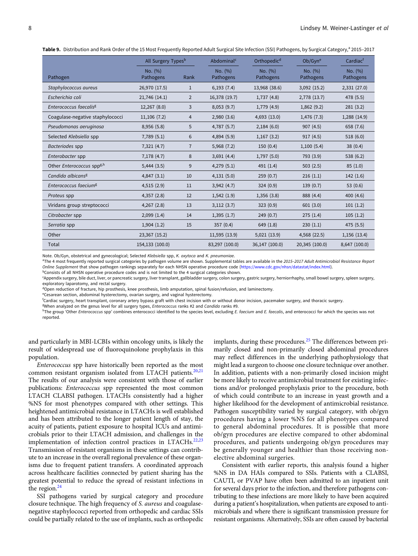<span id="page-7-0"></span>Table 9. Distribution and Rank Order of the 15 Most Frequently Reported Adult Surgical Site Infection (SSI) Pathogens, by Surgical Category,<sup>a</sup> 2015-2017

|                                              | All Surgery Types <sup>b</sup> |                | Abdominal <sup>c</sup> | Orthopedic <sup>d</sup> | Ob/Gyn <sup>e</sup>  | Cardiac <sup>t</sup> |  |
|----------------------------------------------|--------------------------------|----------------|------------------------|-------------------------|----------------------|----------------------|--|
| Pathogen                                     | No. (%)<br>Pathogens           | Rank           | No. (%)<br>Pathogens   | No. (%)<br>Pathogens    | No. (%)<br>Pathogens | No. (%)<br>Pathogens |  |
| Staphylococcus aureus                        | 26,970 (17.5)                  | 1              | 6,193(7.4)             | 13,968 (38.6)           | 3,092 (15.2)         | 2,331 (27.0)         |  |
| Escherichia coli                             | 21,746 (14.1)                  | $\overline{2}$ | 16,378 (19.7)          | 1,737 (4.8)             | 2,778 (13.7)         | 478 (5.5)            |  |
| Enterococcus faecalis <sup>g</sup>           | 12,267 (8.0)                   | 3              | 8,053(9.7)             | 1,779 (4.9)             | 1,862(9.2)           | 281(3.2)             |  |
| Coagulase-negative staphylococci             | 11,106(7.2)                    | 4              | 2,980(3.6)             | 4,693 (13.0)            | 1,476(7.3)           | 1,288 (14.9)         |  |
| Pseudomonas aeruginosa                       | 8,956 (5.8)                    | 5              | 4,787(5.7)             | 2,184(6.0)              | 907(4.5)             | 658 (7.6)            |  |
| Selected Klebsiella spp                      | 7,789(5.1)                     | 6              | 4,894(5.9)             | 1,167(3.2)              | 917(4.5)             | 518(6.0)             |  |
| Bacteriodes spp                              | 7,321(4.7)                     | $\overline{7}$ | 5,968(7.2)             | 150(0.4)                | 1,100(5.4)           | 38(0.4)              |  |
| Enterobacter spp                             | 7,178(4.7)                     | 8              | 3,691(4.4)             | 1,797(5.0)              | 793 (3.9)            | 538 (6.2)            |  |
| Other <i>Enterococcus</i> spp <sup>g,h</sup> | $5,444$ $(3.5)$                | 9              | 4,279(5.1)             | 491 (1.4)               | 503(2.5)             | 85(1.0)              |  |
| Candida albicans <sup>g</sup>                | 4,847(3.1)                     | 10             | 4,131(5.0)             | 259(0.7)                | 216(1.1)             | 142(1.6)             |  |
| Enterococcus faecium <sup>g</sup>            | 4,515(2.9)                     | 11             | 3,942(4.7)             | 324(0.9)                | 139(0.7)             | 53 $(0.6)$           |  |
| Proteus spp                                  | 4,357 (2.8)                    | 12             | 1,542(1.9)             | 1,356(3.8)              | 888 (4.4)            | 400 (4.6)            |  |
| Viridans group streptococci                  | 4,267(2.8)                     | 13             | 3,112(3.7)             | 323(0.9)                | 601(3.0)             | 101(1.2)             |  |
| Citrobacter spp                              | 2,099(1.4)                     | 14             | 1,395(1.7)             | 249(0.7)                | 275(1.4)             | 105(1.2)             |  |
| Serratia spp                                 | 1,904(1.2)                     | 15             | 357(0.4)               | 649 (1.8)               | 230(1.1)             | 475 (5.5)            |  |
| Other                                        | 23,367 (15.2)                  |                | 11,595(13.9)           | 5,021 (13.9)            | 4,568 (22.5)         | 1,156 (13.4)         |  |
| Total                                        | 154,133 (100.0)                |                | 83,297 (100.0)         | 36,147 (100.0)          | 20,345 (100.0)       | 8,647 (100.0)        |  |

Note. Ob/Gyn, obstetrical and gynecological; Selected Klebsiella spp, K. oxytoca and K. pneumoniae.

aThe 4 most frequently reported surgical categories by pathogen volume are shown. Supplemental tables are available in the 2015-2017 Adult Antimicrobial Resistance Report Online Supplement that show pathogen rankings separately for each NHSN operative procedure code [\(https://www.cdc.gov/nhsn/datastat/index.html\)](https://www.cdc.gov/nhsn/datastat/index.html).

<sup>b</sup>Consists of all NHSN operative procedure codes and is not limited to the 4 surgical categories shown.

c Appendix surgery, bile duct, liver, or pancreatic surgery, liver transplant, gallbladder surgery, colon surgery, gastric surgery, herniorrhaphy, small bowel surgery, spleen surgery, exploratory laparotomy, and rectal surgery.

<sup>d</sup>Open reduction of fracture, hip prosthesis, knee prosthesis, limb amputation, spinal fusion/refusion, and laminectomy.

<sup>e</sup>Cesarean section, abdominal hysterectomy, ovarian surgery, and vaginal hysterectomy.

f Cardiac surgery, heart transplant, coronary artery bypass graft with chest incision with or without donor incision, pacemaker surgery, and thoracic surgery.

BWhen analyzed on the genus level for all surgery types, Enterococcus ranks #2 and Candida ranks #9.

hThe group 'Other Enterococcus spp' combines enterococci identified to the species level, excluding E. faecium and E. faecalis, and enterococci for which the species was not reported.

and particularly in MBI-LCBIs within oncology units, is likely the result of widespread use of fluoroquinolone prophylaxis in this population.

Enterococcus spp have historically been reported as the most common resistant organism isolated from LTACH patients. $20,21$ The results of our analysis were consistent with those of earlier publications: Enterococcus spp represented the most common LTACH CLABSI pathogen. LTACHs consistently had a higher %NS for most phenotypes compared with other settings. This heightened antimicrobial resistance in LTACHs is well established and has been attributed to the longer patient length of stay, the acuity of patients, patient exposure to hospital ICUs and antimicrobials prior to their LTACH admission, and challenges in the implementation of infection control practices in LTACHs.<sup>[22,23](#page-15-0)</sup> Transmission of resistant organisms in these settings can contribute to an increase in the overall regional prevalence of these organisms due to frequent patient transfers. A coordinated approach across healthcare facilities connected by patient sharing has the greatest potential to reduce the spread of resistant infections in the region.<sup>[24](#page-15-0)</sup>

SSI pathogens varied by surgical category and procedure closure technique. The high frequency of S. aureus and coagulasenegative staphylococci reported from orthopedic and cardiac SSIs could be partially related to the use of implants, such as orthopedic implants, during these procedures. $25$  The differences between primarily closed and non-primarily closed abdominal procedures may reflect differences in the underlying pathophysiology that might lead a surgeon to choose one closure technique over another. In addition, patients with a non-primarily closed incision might be more likely to receive antimicrobial treatment for existing infections and/or prolonged prophylaxis prior to the procedure, both of which could contribute to an increase in yeast growth and a higher likelihood for the development of antimicrobial resistance. Pathogen susceptibility varied by surgical category, with ob/gyn procedures having a lower %NS for all phenotypes compared to general abdominal procedures. It is possible that more ob/gyn procedures are elective compared to other abdominal procedures, and patients undergoing ob/gyn procedures may be generally younger and healthier than those receiving nonelective abdominal surgeries.

Consistent with earlier reports, this analysis found a higher %NS in DA HAIs compared to SSIs. Patients with a CLABSI, CAUTI, or PVAP have often been admitted to an inpatient unit for several days prior to the infection, and therefore pathogens contributing to these infections are more likely to have been acquired during a patient's hospitalization, when patients are exposed to antimicrobials and where there is significant transmission pressure for resistant organisms. Alternatively, SSIs are often caused by bacterial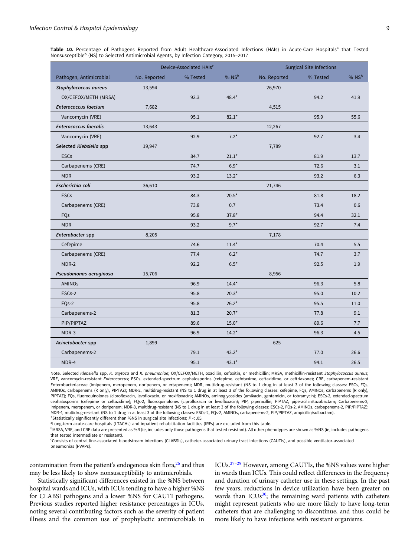<span id="page-8-0"></span>Table 10. Percentage of Pathogens Reported from Adult Healthcare-Associated Infections (HAIs) in Acute-Care Hospitals<sup>a</sup> that Tested Nonsusceptible<sup>b</sup> (NS) to Selected Antimicrobial Agents, by Infection Category, 2015–2017

|                              |              | Device-Associated HAIs <sup>c</sup> |         |              | <b>Surgical Site Infections</b> |            |
|------------------------------|--------------|-------------------------------------|---------|--------------|---------------------------------|------------|
| Pathogen, Antimicrobial      | No. Reported | % Tested                            | % $NSb$ | No. Reported | % Tested                        | $%$ NS $b$ |
| Staphylococcus aureus        | 13,594       |                                     |         | 26,970       |                                 |            |
| OX/CEFOX/METH (MRSA)         |              | 92.3                                | $48.4*$ |              | 94.2                            | 41.9       |
| <b>Enterococcus faecium</b>  | 7,682        |                                     |         | 4,515        |                                 |            |
| Vancomycin (VRE)             |              | 95.1                                | $82.1*$ |              | 95.9                            | 55.6       |
| <b>Enterococcus faecalis</b> | 13,643       |                                     |         | 12,267       |                                 |            |
| Vancomycin (VRE)             |              | 92.9                                | $7.2*$  |              | 92.7                            | 3.4        |
| Selected Klebsiella spp      | 19,947       |                                     |         | 7,789        |                                 |            |
| <b>ESCs</b>                  |              | 84.7                                | $21.1*$ |              | 81.9                            | 13.7       |
| Carbapenems (CRE)            |              | 74.7                                | $6.9*$  |              | 72.6                            | 3.1        |
| <b>MDR</b>                   |              | 93.2                                | $13.2*$ |              | 93.2                            | 6.3        |
| Escherichia coli             | 36,610       |                                     |         | 21,746       |                                 |            |
| <b>ESCs</b>                  |              | 84.3                                | $20.5*$ |              | 81.8                            | 18.2       |
| Carbapenems (CRE)            |              | 73.8                                | 0.7     |              | 73.4                            | 0.6        |
| FQs                          |              | 95.8                                | $37.8*$ |              | 94.4                            | 32.1       |
| <b>MDR</b>                   |              | 93.2                                | $9.7*$  |              | 92.7                            | 7.4        |
| Enterobacter spp             | 8,205        |                                     |         | 7,178        |                                 |            |
| Cefepime                     |              | 74.6                                | $11.4*$ |              | 70.4                            | 5.5        |
| Carbapenems (CRE)            |              | 77.4                                | $6.2*$  |              | 74.7                            | 3.7        |
| MDR-2                        |              | 92.2                                | $6.5*$  |              | 92.5                            | 1.9        |
| Pseudomonas aeruginosa       | 15,706       |                                     |         | 8,956        |                                 |            |
| <b>AMINOS</b>                |              | 96.9                                | $14.4*$ |              | 96.3                            | 5.8        |
| ESCs-2                       |              | 95.8                                | $20.3*$ |              | 95.0                            | 10.2       |
| FQs-2                        |              | 95.8                                | $26.2*$ |              | 95.5                            | 11.0       |
| Carbapenems-2                |              | 81.3                                | $20.7*$ |              | 77.8                            | 9.1        |
| PIP/PIPTAZ                   |              | 89.6                                | $15.0*$ |              | 89.6                            | 7.7        |
| MDR-3                        |              | 96.9                                | $14.2*$ |              | 96.3                            | 4.5        |
| Acinetobacter spp            | 1,899        |                                     |         | 625          |                                 |            |
| Carbapenems-2                |              | 79.1                                | $43.2*$ |              | 77.0                            | 26.6       |
| MDR-4                        |              | 95.1                                | $43.1*$ |              | 94.1                            | 26.5       |

Note. Selected Klebsiella spp, K. oxytoca and K. pneumoniae; OX/CEFOX/METH, oxacillin, cefoxitin, or methicillin; MRSA, methicillin-resistant Staphylococcus aureus; VRE, vancomycin-resistant Enterococcus; ESCs, extended-spectrum cephalosporins (cefepime, cefotaxime, ceftazidime, or ceftriaxone); CRE, carbapenem-resistant Enterobacteriaceae (imipenem, meropenem, doripenem, or ertapenem); MDR, multidrug-resistant (NS to 1 drug in at least 3 of the following classes: ESCs, FQs, AMINOs, carbapenems (R only), PIPTAZ); MDR-2, multidrug-resistant (NS to 1 drug in at least 3 of the following classes: cefepime, FQs, AMINOs, carbapenems (R only), PIPTAZ); FQs, fluoroquinolones (ciprofloxacin, levofloxacin, or moxifloxacin); AMINOs, aminoglycosides (amikacin, gentamicin, or tobramycin); ESCs-2, extended-spectrum cephalosporins (cefepime or ceftazidime); FQs-2, fluoroquinolones (ciprofloxacin or levofloxacin); PIP, piperacillin; PIPTAZ, piperacillin/tazobactam; Carbapenems-2, imipenem, meropenem, or doripenem; MDR-3, multidrug-resistant (NS to 1 drug in at least 3 of the following classes: ESCs-2, FQs-2, AMINOs, carbapenems-2, PIP/PIPTAZ); MDR-4, multidrug-resistant (NS to 1 drug in at least 3 of the following classes: ESCs-2, FQs-2, AMINOs, carbapenems-2, PIP/PIPTAZ, ampicillin/sulbactam). \*Statistically significantly different than %NS in surgical site infections;  $P < .05$ .

aLong-term acute-care hospitals (LTACHs) and inpatient rehabilitation facilities (IRFs) are excluded from this table.

bMRSA, VRE, and CRE data are presented as %R (ie, includes only those pathogens that tested resistant). All other phenotypes are shown as %NS (ie, includes pathogens that tested intermediate or resistant).

c Consists of central line-associated bloodstream infections (CLABSIs), catheter-associated urinary tract infections (CAUTIs), and possible ventilator-associated pneumonias (PVAPs).

contamination from the patient's endogenous skin flora, $26$  and thus may be less likely to show nonsusceptibility to antimicrobials.

Statistically significant differences existed in the %NS between hospital wards and ICUs, with ICUs tending to have a higher %NS for CLABSI pathogens and a lower %NS for CAUTI pathogens. Previous studies reported higher resistance percentages in ICUs, noting several contributing factors such as the severity of patient illness and the common use of prophylactic antimicrobials in ICUs.[27](#page-15-0)–[29](#page-15-0) However, among CAUTIs, the %NS values were higher in wards than ICUs. This could reflect differences in the frequency and duration of urinary catheter use in these settings. In the past few years, reductions in device utilization have been greater on wards than ICUs $30$ ; the remaining ward patients with catheters might represent patients who are more likely to have long-term catheters that are challenging to discontinue, and thus could be more likely to have infections with resistant organisms.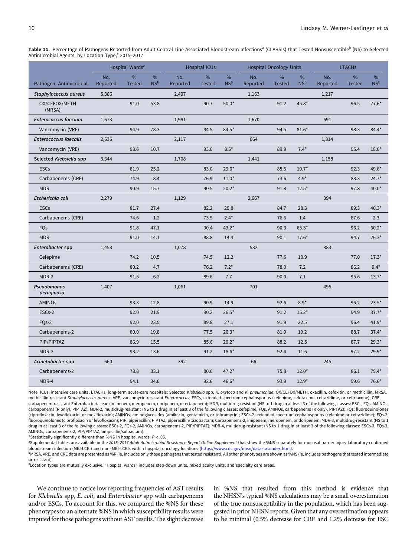<span id="page-9-0"></span>Table 11. Percentage of Pathogens Reported from Adult Central Line-Associated Bloodstream Infections<sup>a</sup> (CLABSIs) that Tested Nonsusceptible<sup>b</sup> (NS) to Selected Antimicrobial Agents, by Location Type,<sup>c</sup> 2015–2017

|                              | Hospital Wards <sup>c</sup> |                       |                         | <b>Hospital ICUs</b> |                    |                         | <b>Hospital Oncology Units</b> |                       | <b>LTACHs</b>           |                 |                    |                      |
|------------------------------|-----------------------------|-----------------------|-------------------------|----------------------|--------------------|-------------------------|--------------------------------|-----------------------|-------------------------|-----------------|--------------------|----------------------|
| Pathogen, Antimicrobial      | No.<br>Reported             | $\%$<br><b>Tested</b> | $\%$<br>NS <sup>b</sup> | No.<br>Reported      | %<br><b>Tested</b> | $\%$<br>NS <sup>b</sup> | No.<br>Reported                | $\%$<br><b>Tested</b> | $\%$<br>NS <sup>b</sup> | No.<br>Reported | %<br><b>Tested</b> | %<br>NS <sup>b</sup> |
| Staphylococcus aureus        | 5,386                       |                       |                         | 2,497                |                    |                         | 1,163                          |                       |                         | 1,217           |                    |                      |
| OX/CEFOX/METH<br>(MRSA)      |                             | 91.0                  | 53.8                    |                      | 90.7               | $50.0*$                 |                                | 91.2                  | 45.8*                   |                 | 96.5               | $77.6*$              |
| <b>Enterococcus faecium</b>  | 1,673                       |                       |                         | 1,981                |                    |                         | 1,670                          |                       |                         | 691             |                    |                      |
| Vancomycin (VRE)             |                             | 94.9                  | 78.3                    |                      | 94.5               | $84.5*$                 |                                | 94.5                  | $81.6*$                 |                 | 98.3               | $84.4*$              |
| <b>Enterococcus faecalis</b> | 2,636                       |                       |                         | 2,117                |                    |                         | 664                            |                       |                         | 1,314           |                    |                      |
| Vancomycin (VRE)             |                             | 93.6                  | 10.7                    |                      | 93.0               | $8.5*$                  |                                | 89.9                  | $7.4*$                  |                 | 95.4               | $18.0*$              |
| Selected Klebsiella spp      | 3,344                       |                       |                         | 1,708                |                    |                         | 1,441                          |                       |                         | 1,158           |                    |                      |
| <b>ESCs</b>                  |                             | 81.9                  | 25.2                    |                      | 83.0               | $29.6*$                 |                                | 85.5                  | $19.7*$                 |                 | 92.3               | 49.6*                |
| Carbapenems (CRE)            |                             | 74.9                  | 8.4                     |                      | 76.9               | $11.0*$                 |                                | 73.6                  | $4.9*$                  |                 | 88.3               | $24.7*$              |
| <b>MDR</b>                   |                             | 90.9                  | 15.7                    |                      | 90.5               | $20.2*$                 |                                | 91.8                  | $12.5*$                 |                 | 97.8               | $40.0*$              |
| Escherichia coli             | 2,279                       |                       |                         | 1,129                |                    |                         | 2,667                          |                       |                         | 394             |                    |                      |
| <b>ESCs</b>                  |                             | 81.7                  | 27.4                    |                      | 82.2               | 29.8                    |                                | 84.7                  | 28.3                    |                 | 89.3               | $40.3*$              |
| Carbapenems (CRE)            |                             | 74.6                  | 1.2                     |                      | 73.9               | $2.4*$                  |                                | 76.6                  | 1.4                     |                 | 87.6               | 2.3                  |
| FQs                          |                             | 91.8                  | 47.1                    |                      | 90.4               | $43.2*$                 |                                | 90.3                  | $65.3*$                 |                 | 96.2               | $60.2*$              |
| <b>MDR</b>                   |                             | 91.0                  | 14.1                    |                      | 88.8               | 14.4                    |                                | 90.1                  | $17.6*$                 |                 | 94.7               | $26.3*$              |
| Enterobacter spp             | 1,453                       |                       |                         | 1,078                |                    |                         | 532                            |                       |                         | 383             |                    |                      |
| Cefepime                     |                             | 74.2                  | 10.5                    |                      | 74.5               | 12.2                    |                                | 77.6                  | 10.9                    |                 | 77.0               | $17.3*$              |
| Carbapenems (CRE)            |                             | 80.2                  | 4.7                     |                      | 76.2               | $7.2*$                  |                                | 78.0                  | 7.2                     |                 | 86.2               | $9.4*$               |
| MDR-2                        |                             | 91.5                  | 6.2                     |                      | 89.6               | 7.7                     |                                | 90.0                  | 7.1                     |                 | 95.6               | $13.7*$              |
| Pseudomonas<br>aeruginosa    | 1,407                       |                       |                         | 1,061                |                    |                         | 701                            |                       |                         | 495             |                    |                      |
| <b>AMINOs</b>                |                             | 93.3                  | 12.8                    |                      | 90.9               | 14.9                    |                                | 92.6                  | $8.9*$                  |                 | 96.2               | $23.5*$              |
| ESCs-2                       |                             | 92.0                  | 21.9                    |                      | 90.2               | $26.5*$                 |                                | 91.2                  | $15.2*$                 |                 | 94.9               | $37.7*$              |
| FO <sub>s</sub> -2           |                             | 92.0                  | 23.5                    |                      | 89.8               | 27.1                    |                                | 91.9                  | 22.5                    |                 | 96.4               | $41.9*$              |
| Carbapenems-2                |                             | 80.0                  | 19.8                    |                      | 77.5               | $26.3*$                 |                                | 81.9                  | 19.2                    |                 | 88.7               | $37.4*$              |
| PIP/PIPTAZ                   |                             | 86.9                  | 15.5                    |                      | 85.6               | $20.2*$                 |                                | 88.2                  | 12.5                    |                 | 87.7               | $29.3*$              |
| MDR-3                        |                             | 93.2                  | 13.6                    |                      | 91.2               | $18.6*$                 |                                | 92.4                  | 11.6                    |                 | 97.2               | $29.9*$              |
| Acinetobacter spp            | 660                         |                       |                         | 392                  |                    |                         | 66                             |                       |                         | 245             |                    |                      |
| Carbapenems-2                |                             | 78.8                  | 33.1                    |                      | 80.6               | $47.2*$                 |                                | 75.8                  | $12.0*$                 |                 | 86.1               | $75.4*$              |
| MDR-4                        |                             | 94.1                  | 34.6                    |                      | 92.6               | 46.6*                   |                                | 93.9                  | $12.9*$                 |                 | 99.6               | 76.6*                |

Note. ICUs, intensive care units; LTACHs, long-term acute-care hospitals; Selected Klebsiella spp, K. oxytoca and K. pneumoniae; OX/CEFOX/METH, oxacillin, cefoxitin, or methicillin; MRSA, methicillin-resistant Staphylococcus aureus; VRE, vancomycin-resistant Enterococcus; ESCs, extended-spectrum cephalosporins (cefepime, cefotaxime, ceftazidime, or ceftriaxone); CRE, carbapenem-resistant Enterobacteriaceae (imipenem, meropenem, doripenem, or ertapenem); MDR, multidrug-resistant (NS to 1 drug in at least 3 of the following classes: ESCs, FQs, AMINOs, carbapenems (R only), PIPTAZ); MDR-2, multidrug-resistant (NS to 1 drug in at least 3 of the following classes: cefepime, FQs, AMINOs, carbapenems (R only), PIPTAZ); FQs: fluoroquinolones (ciprofloxacin, levofloxacin, or moxifloxacin); AMINOs, aminoglycosides (amikacin, gentamicin, or tobramycin); ESCs-2, extended-spectrum cephalosporins (cefepime or ceftazidime); FQs-2, fluoroquinolones (ciprofloxacin or levofloxacin); PIP, piperacillin; PIPTAZ, piperacillin/tazobactam; Carbapenems-2, imipenem, meropenem, or doripenem; MDR-3, multidrug-resistant (NS to 1 drug in at least 3 of the following classes: ESCs-2, FQs-2, AMINOs, carbapenems-2, PIP/PIPTAZ); MDR-4, multidrug-resistant (NS to 1 drug in at least 3 of the following classes: ESCs-2, FQs-2, AMINOs, carbapenems-2, PIP/PIPTAZ, ampicillin/sulbactam).

\*Statistically significantly different than %NS in hospital wards;  $P < .05$ .

<sup>a</sup>Supplemental tables are available in the 2015-2017 Adult Antimicrobial Resistance Report Online Supplement that show the %NS separately for mucosal barrier injury laboratory-confirmed bloodstream infection (MBI-LCBI) and non–MBI-LCBIs within hospital oncology locations [\(https://www.cdc.gov/nhsn/datastat/index.html](https://www.cdc.gov/nhsn/datastat/index.html)).

bMRSA, VRE, and CRE data are presented as %R (ie, includes only those pathogens that tested resistant). All other phenotypes are shown as %NS (ie, includes pathogens that tested intermediate or resistant).

c Location types are mutually exclusive. "Hospital wards" includes step-down units, mixed acuity units, and specialty care areas.

We continue to notice low reporting frequencies of AST results for Klebsiella spp, E. coli, and Enterobacter spp with carbapenems and/or ESCs. To account for this, we compared the %NS for these phenotypes to an alternate %NS in which susceptibility results were imputed for those pathogens without AST results. The slight decrease

in %NS that resulted from this method is evidence that the NHSN's typical %NS calculations may be a small overestimation of the true nonsusceptibility in the population, which has been suggested in prior NHSN reports. Given that any overestimation appears to be minimal (0.5% decrease for CRE and 1.2% decrease for ESC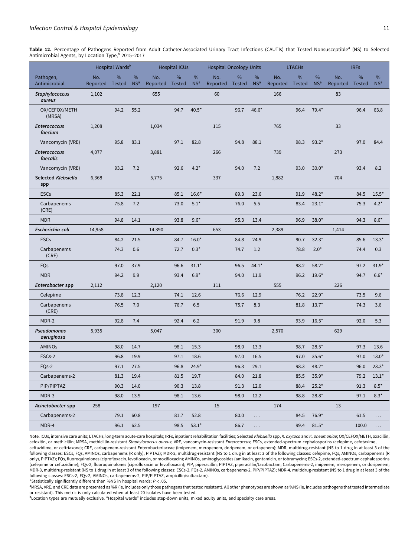<span id="page-10-0"></span>Table 12. Percentage of Pathogens Reported from Adult Catheter-Associated Urinary Tract Infections (CAUTIs) that Tested Nonsusceptible<sup>a</sup> (NS) to Selected Antimicrobial Agents, by Location Type, 2015-2017

|                                 |                        | Hospital Wards <sup>b</sup> |                      |                 | <b>Hospital ICUs</b> |                      | <b>Hospital Oncology Units</b> |      |                      |                 | <b>LTACHs</b>      |                      |                 | <b>IRFs</b> |                      |
|---------------------------------|------------------------|-----------------------------|----------------------|-----------------|----------------------|----------------------|--------------------------------|------|----------------------|-----------------|--------------------|----------------------|-----------------|-------------|----------------------|
| Pathogen,<br>Antimicrobial      | No.<br>Reported Tested | %                           | %<br>NS <sup>a</sup> | No.<br>Reported | %<br><b>Tested</b>   | %<br>NS <sup>a</sup> | No.<br>Reported Tested         | %    | %<br>NS <sup>a</sup> | No.<br>Reported | %<br><b>Tested</b> | %<br>NS <sup>a</sup> | No.<br>Reported | %<br>Tested | %<br>NS <sup>a</sup> |
| <b>Staphylococcus</b><br>aureus | 1,102                  |                             |                      | 655             |                      |                      | 60                             |      |                      | 166             |                    |                      | 83              |             |                      |
| OX/CEFOX/METH<br>(MRSA)         |                        | 94.2                        | 55.2                 |                 | 94.7                 | $40.5*$              |                                | 96.7 | 46.6*                |                 | 96.4               | $79.4*$              |                 | 96.4        | 63.8                 |
| <b>Enterococcus</b><br>faecium  | 1,208                  |                             |                      | 1,034           |                      |                      | 115                            |      |                      | 765             |                    |                      | 33              |             |                      |
| Vancomycin (VRE)                |                        | 95.8                        | 83.1                 |                 | 97.1                 | 82.8                 |                                | 94.8 | 88.1                 |                 | 98.3               | $93.2*$              |                 | 97.0        | 84.4                 |
| <b>Enterococcus</b><br>faecalis | 4,077                  |                             |                      | 3,881           |                      |                      | 266                            |      |                      | 739             |                    |                      | 273             |             |                      |
| Vancomycin (VRE)                |                        | 93.2                        | 7.2                  |                 | 92.6                 | $4.2*$               |                                | 94.0 | 7.2                  |                 | 93.0               | $30.0*$              |                 | 93.4        | 8.2                  |
| Selected Klebsiella<br>spp      | 6,368                  |                             |                      | 5,775           |                      |                      | 337                            |      |                      | 1,882           |                    |                      | 704             |             |                      |
| <b>ESCs</b>                     |                        | 85.3                        | 22.1                 |                 | 85.1                 | $16.6*$              |                                | 89.3 | 23.6                 |                 | 91.9               | $48.2*$              |                 | 84.5        | $15.5*$              |
| Carbapenems<br>(CRE)            |                        | 75.8                        | 7.2                  |                 | 73.0                 | $5.1*$               |                                | 76.0 | 5.5                  |                 | 83.4               | $23.1*$              |                 | 75.3        | $4.2*$               |
| <b>MDR</b>                      |                        | 94.8                        | 14.1                 |                 | 93.8                 | $9.6*$               |                                | 95.3 | 13.4                 |                 | 96.9               | $38.0*$              |                 | 94.3        | $8.6*$               |
| Escherichia coli                | 14,958                 |                             |                      | 14,390          |                      |                      | 653                            |      |                      | 2,389           |                    |                      | 1,414           |             |                      |
| <b>ESCs</b>                     |                        | 84.2                        | 21.5                 |                 | 84.7                 | $16.0*$              |                                | 84.8 | 24.9                 |                 | 90.7               | $32.3*$              |                 | 85.6        | $13.3*$              |
| Carbapenems<br>(CRE)            |                        | 74.3                        | 0.6                  |                 | 72.7                 | $0.3*$               |                                | 74.7 | 1.2                  |                 | 78.8               | $2.0*$               |                 | 74.4        | 0.3                  |
| FQs                             |                        | 97.0                        | 37.9                 |                 | 96.6                 | $31.1*$              |                                | 96.5 | $44.1*$              |                 | 98.2               | $58.2*$              |                 | 97.2        | $31.9*$              |
| <b>MDR</b>                      |                        | 94.2                        | 9.9                  |                 | 93.4                 | $6.9*$               |                                | 94.0 | 11.9                 |                 | 96.2               | $19.6*$              |                 | 94.7        | $6.6*$               |
| Enterobacter spp                | 2,112                  |                             |                      | 2,120           |                      |                      | 111                            |      |                      | 555             |                    |                      | 226             |             |                      |
| Cefepime                        |                        | 73.8                        | 12.3                 |                 | 74.1                 | 12.6                 |                                | 76.6 | 12.9                 |                 | 76.2               | $22.9*$              |                 | 73.5        | 9.6                  |
| Carbapenems<br>(CRE)            |                        | 76.5                        | 7.0                  |                 | 76.7                 | 6.5                  |                                | 75.7 | 8.3                  |                 | 81.8               | $13.7*$              |                 | 74.3        | 3.6                  |
| MDR-2                           |                        | 92.8                        | 7.4                  |                 | 92.4                 | 6.2                  |                                | 91.9 | 9.8                  |                 | 93.9               | $16.5*$              |                 | 92.0        | 5.3                  |
| Pseudomonas<br>aeruginosa       | 5,935                  |                             |                      | 5,047           |                      |                      | 300                            |      |                      | 2,570           |                    |                      | 629             |             |                      |
| <b>AMINOs</b>                   |                        | 98.0                        | 14.7                 |                 | 98.1                 | 15.3                 |                                | 98.0 | 13.3                 |                 | 98.7               | $28.5*$              |                 | 97.3        | 13.6                 |
| ESCs-2                          |                        | 96.8                        | 19.9                 |                 | 97.1                 | 18.6                 |                                | 97.0 | 16.5                 |                 | 97.0               | $35.6*$              |                 | 97.0        | $13.0*$              |
| FQ <sub>s</sub> -2              |                        | 97.1                        | 27.5                 |                 | 96.8                 | $24.9*$              |                                | 96.3 | 29.1                 |                 | 98.3               | $48.2*$              |                 | 96.0        | $23.3*$              |
| Carbapenems-2                   |                        | 81.3                        | 19.4                 |                 | 81.5                 | 19.7                 |                                | 84.0 | 21.8                 |                 | 85.5               | $35.9*$              |                 | 79.2        | $13.1*$              |
| PIP/PIPTAZ                      |                        | 90.3                        | 14.0                 |                 | 90.3                 | 13.8                 |                                | 91.3 | 12.0                 |                 | 88.4               | $25.2*$              |                 | 91.3        | $8.5*$               |
| MDR-3                           |                        | 98.0                        | 13.9                 |                 | 98.1                 | 13.6                 |                                | 98.0 | 12.2                 |                 | 98.8               | $28.8*$              |                 | 97.1        | $8.3*$               |
| Acinetobacter spp               | 258                    |                             |                      | 197             |                      |                      | 15                             |      |                      | 174             |                    |                      | 13              |             |                      |
| Carbapenems-2                   |                        | 79.1                        | 60.8                 |                 | 81.7                 | 52.8                 |                                | 80.0 | .                    |                 | 84.5               | 76.9*                |                 | 61.5        | $\cdots$             |
| MDR-4                           |                        | 96.1                        | 62.5                 |                 | 98.5                 | $53.1*$              |                                | 86.7 | $\ldots$ .           |                 | 99.4               | $81.5^{\star}$       |                 | 100.0       | $\ldots$             |

Note. ICUs, intensive care units; LTACHs, long-term acute-care hospitals; IRFs, inpatient rehabilitation facilities; Selected Klebsiella spp, K. oxytoca and K. pneumoniae; OX/CEFOX/METH, oxacillin, cefoxitin, or methicillin; MRSA, methicillin-resistant Staphylococcus aureus; VRE, vancomycin-resistant Enterococcus; ESCs, extended-spectrum cephalosporins (cefepime, cefotaxime, ceftazidime, or ceftriaxone); CRE, carbapenem-resistant Enterobacteriaceae (imipenem, meropenem, doripenem, or ertapenem); MDR, multidrug-resistant (NS to 1 drug in at least 3 of the following classes: ESCs, FQs, AMINOs, carbapenems (R only), PIPTAZ); MDR-2, multidrug-resistant (NS to 1 drug in at least 3 of the following classes: cefepime, FQs, AMINOs, carbapenems (R only), PIPTAZ); FQs, fluoroquinolones (ciprofloxacin, levofloxacin, or moxifloxacin); AMINOs, aminoglycosides (amikacin, gentamicin, or tobramycin); ESCs-2, extended-spectrum cephalosporins (cefepime or ceftazidime); FQs-2, fluoroquinolones (ciprofloxacin or levofloxacin); PIP, piperacillin; PIPTAZ, piperacillin/tazobactam; Carbapenems-2, imipenem, meropenem, or doripenem; MDR-3, multidrug-resistant (NS to 1 drug in at least 3 of the following classes: ESCs-2, FQs-2, AMINOs, carbapenems-2, PIP/PIPTAZ); MDR-4, multidrug-resistant (NS to 1 drug in at least 3 of the following classes: ESCs-2, FQs-2, AMINOs, carbapenems-2, PIP/PIPTAZ, ampicillin/sulbactam).

\*Statistically significantly different than %NS in hospital wards;  $P < .05$ .

a MRSA, VRE, and CRE data are presented as %R (ie, includes only those pathogens that tested resistant). All other phenotypes are shown as %NS (ie, includes pathogens that tested intermediate or resistant). This metric is only calculated when at least 20 isolates have been tested.

bLocation types are mutually exclusive. "Hospital wards" includes step-down units, mixed acuity units, and specialty care areas.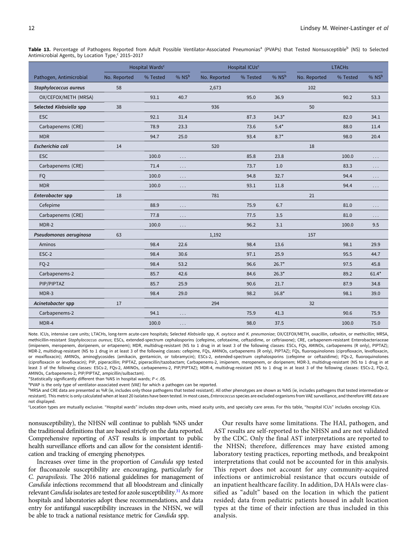<span id="page-11-0"></span>Table 13. Percentage of Pathogens Reported from Adult Possible Ventilator-Associated Pneumonias<sup>a</sup> (PVAPs) that Tested Nonsusceptible<sup>b</sup> (NS) to Selected Antimicrobial Agents, by Location Type,<sup>c</sup> 2015-2017

|                         | Hospital Wards <sup>c</sup> |          |          |              | Hospital ICUs <sup>c</sup> |         | <b>LTACHs</b> |          |          |  |
|-------------------------|-----------------------------|----------|----------|--------------|----------------------------|---------|---------------|----------|----------|--|
| Pathogen, Antimicrobial | No. Reported                | % Tested | % NSb    | No. Reported | % Tested                   | % NSb   | No. Reported  | % Tested | % NSb    |  |
| Staphylococcus aureus   | 58                          |          |          | 2,673        |                            |         | 102           |          |          |  |
| OX/CEFOX/METH (MRSA)    |                             | 93.1     | 40.7     |              | 95.0                       | 36.9    |               | 90.2     | 53.3     |  |
| Selected Klebsiella spp | 38                          |          |          | 936          |                            |         | 50            |          |          |  |
| <b>ESC</b>              |                             | 92.1     | 31.4     |              | 87.3                       | $14.3*$ |               | 82.0     | 34.1     |  |
| Carbapenems (CRE)       |                             | 78.9     | 23.3     |              | 73.6                       | $5.4*$  |               | 88.0     | 11.4     |  |
| <b>MDR</b>              |                             | 94.7     | 25.0     |              | 93.4                       | $8.7*$  |               | 98.0     | 20.4     |  |
| Escherichia coli        | 14                          |          |          | 520          |                            |         | 18            |          |          |  |
| <b>ESC</b>              |                             | 100.0    | .        |              | 85.8                       | 23.8    |               | 100.0    | $\cdots$ |  |
| Carbapenems (CRE)       |                             | 71.4     | .        |              | 73.7                       | 1.0     |               | 83.3     | $\cdots$ |  |
| <b>FQ</b>               |                             | 100.0    | $\cdots$ |              | 94.8                       | 32.7    |               | 94.4     | $\cdots$ |  |
| <b>MDR</b>              |                             | 100.0    | $\cdots$ |              | 93.1                       | 11.8    |               | 94.4     | $\cdots$ |  |
| Enterobacter spp        | 18                          |          |          | 781          |                            |         | 21            |          |          |  |
| Cefepime                |                             | 88.9     | .        |              | 75.9                       | 6.7     |               | 81.0     | $\cdots$ |  |
| Carbapenems (CRE)       |                             | 77.8     | .        |              | 77.5                       | 3.5     |               | 81.0     | .        |  |
| MDR-2                   |                             | 100.0    | .        |              | 96.2                       | 3.1     |               | 100.0    | 9.5      |  |
| Pseudomonas aeruginosa  | 63                          |          |          | 1,192        |                            |         | 157           |          |          |  |
| Aminos                  |                             | 98.4     | 22.6     |              | 98.4                       | 13.6    |               | 98.1     | 29.9     |  |
| ESC-2                   |                             | 98.4     | 30.6     |              | 97.1                       | 25.9    |               | 95.5     | 44.7     |  |
| $FQ-2$                  |                             | 98.4     | 53.2     |              | 96.6                       | $26.7*$ |               | 97.5     | 45.8     |  |
| Carbapenems-2           |                             | 85.7     | 42.6     |              | 84.6                       | $26.3*$ |               | 89.2     | $61.4*$  |  |
| PIP/PIPTAZ              |                             | 85.7     | 25.9     |              | 90.6                       | 21.7    |               | 87.9     | 34.8     |  |
| MDR-3                   |                             | 98.4     | 29.0     |              | 98.2                       | $16.8*$ |               | 98.1     | 39.0     |  |
| Acinetobacter spp       | 17                          |          |          | 294          |                            |         | 32            |          |          |  |
| Carbapenems-2           |                             | 94.1     | .        |              | 75.9                       | 41.3    |               | 90.6     | 75.9     |  |
| MDR-4                   |                             | 100.0    | $\cdots$ |              | 98.0                       | 37.5    |               | 100.0    | 75.0     |  |

Note. ICUs, intensive care units; LTACHs, long-term acute-care hospitals; Selected Klebsiella spp, K. oxytoca and K. pneumoniae; OX/CEFOX/METH, oxacillin, cefoxitin, or methicillin; MRSA, methicillin-resistant Staphylococcus aureus; ESCs, extended-spectrum cephalosporins (cefepime, cefotaxime, ceftazidime, or ceftriaxone); CRE, carbapenem-resistant Enterobacteriaceae (imipenem, meropenem, doripenem, or ertapenem); MDR, multidrug-resistant (NS to 1 drug in at least 3 of the following classes: ESCs, FQs, AMINOs, carbapenems (R only), PIPTAZ); MDR-2, multidrug-resistant (NS to 1 drug in at least 3 of the following classes: cefepime, FQs, AMINOs, carbapenems (R only), PIPTAZ); FQs, fluoroquinolones (ciprofloxacin, levofloxacin, or moxifloxacin); AMINOs, aminoglycosides (amikacin, gentamicin, or tobramycin); ESCs-2, extended-spectrum cephalosporins (cefepime or ceftazidime); FQs-2, fluoroquinolones (ciprofloxacin or levofloxacin); PIP, piperacillin; PIPTAZ, piperacillin/tazobactam; Carbapenems-2, imipenem, meropenem, or doripenem; MDR-3, multidrug-resistant (NS to 1 drug in at least 3 of the following classes: ESCs-2, FQs-2, AMINOs, carbapenems-2, PIP/PIPTAZ); MDR-4, multidrug-resistant (NS to 1 drug in at least 3 of the following classes: ESCs-2, FQs-2, AMINOs, Carbapenems-2, PIP/PIPTAZ, ampicillin/sulbactam).

\*Statistically significantly different than %NS in hospital wards:  $P < .05$ .

<sup>a</sup>PVAP is the only type of ventilator-associated event (VAE) for which a pathogen can be reported.

bMRSA and CRE data are presented as %R (ie, includes only those pathogens that tested resistant). All other phenotypes are shown as %NS (ie, includes pathogens that tested intermediate or resistant). This metric is only calculated when at least 20 isolates have been tested. In most cases, Enterococcus species are excluded organisms from VAE surveillance, and therefore VRE data are not displayed.

c Location types are mutually exclusive. "Hospital wards" includes step-down units, mixed acuity units, and specialty care areas. For this table, "hospital ICUs" includes oncology ICUs.

nonsusceptibility), the NHSN will continue to publish %NS under the traditional definitions that are based strictly on the data reported. Comprehensive reporting of AST results is important to public health surveillance efforts and can allow for the consistent identification and tracking of emerging phenotypes.

Increases over time in the proportion of Candida spp tested for fluconazole susceptibility are encouraging, particularly for C. parapsilosis. The 2016 national guidelines for management of Candida infections recommend that all bloodstream and clinically relevant Candida isolates are tested for azole susceptibility. $31$  As more hospitals and laboratories adopt these recommendations, and data entry for antifungal susceptibility increases in the NHSN, we will be able to track a national resistance metric for Candida spp.

Our results have some limitations. The HAI, pathogen, and AST results are self-reported to the NHSN and are not validated by the CDC. Only the final AST interpretations are reported to the NHSN; therefore, differences may have existed among laboratory testing practices, reporting methods, and breakpoint interpretations that could not be accounted for in this analysis. This report does not account for any community-acquired infections or antimicrobial resistance that occurs outside of an inpatient healthcare facility. In addition, DA HAIs were classified as "adult" based on the location in which the patient resided; data from pediatric patients housed in adult location types at the time of their infection are thus included in this analysis.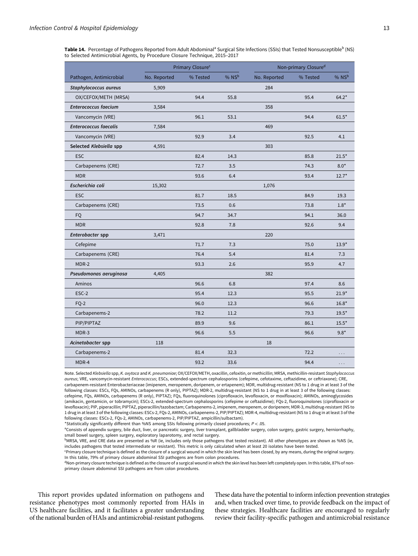<span id="page-12-0"></span>Table 14. Percentage of Pathogens Reported from Adult Abdominal<sup>a</sup> Surgical Site Infections (SSIs) that Tested Nonsusceptible<sup>b</sup> (NS) to Selected Antimicrobial Agents, by Procedure Closure Technique, 2015–2017

|                              |              | Primary Closure <sup>c</sup> |                     | Non-primary Closure <sup>d</sup> |          |         |  |  |
|------------------------------|--------------|------------------------------|---------------------|----------------------------------|----------|---------|--|--|
| Pathogen, Antimicrobial      | No. Reported | % Tested                     | $%$ NS <sup>b</sup> | No. Reported                     | % Tested | % NSb   |  |  |
| Staphylococcus aureus        | 5,909        |                              |                     | 284                              |          |         |  |  |
| OX/CEFOX/METH (MRSA)         |              | 94.4                         | 55.8                |                                  | 95.4     | $64.2*$ |  |  |
| <b>Enterococcus faecium</b>  | 3,584        |                              |                     | 358                              |          |         |  |  |
| Vancomycin (VRE)             |              | 96.1                         | 53.1                |                                  | 94.4     | $61.5*$ |  |  |
| <b>Enterococcus faecalis</b> | 7,584        |                              |                     | 469                              |          |         |  |  |
| Vancomycin (VRE)             |              | 92.9                         | 3.4                 |                                  | 92.5     | 4.1     |  |  |
| Selected Klebsiella spp      | 4,591        |                              |                     | 303                              |          |         |  |  |
| <b>ESC</b>                   |              | 82.4                         | 14.3                |                                  | 85.8     | $21.5*$ |  |  |
| Carbapenems (CRE)            |              | 72.7                         | 3.5                 |                                  | 74.3     | $8.0*$  |  |  |
| <b>MDR</b>                   |              | 93.6                         | 6.4                 |                                  | 93.4     | $12.7*$ |  |  |
| Escherichia coli             | 15,302       |                              |                     | 1,076                            |          |         |  |  |
| <b>ESC</b>                   |              | 81.7                         | 18.5                |                                  | 84.9     | 19.3    |  |  |
| Carbapenems (CRE)            |              | 73.5                         | 0.6                 |                                  | 73.8     | $1.8*$  |  |  |
| FQ                           |              | 94.7                         | 34.7                |                                  | 94.1     | 36.0    |  |  |
| <b>MDR</b>                   |              | 92.8                         | 7.8                 |                                  | 92.6     | 9.4     |  |  |
| Enterobacter spp             | 3,471        |                              |                     | 220                              |          |         |  |  |
| Cefepime                     |              | 71.7                         | 7.3                 |                                  | 75.0     | $13.9*$ |  |  |
| Carbapenems (CRE)            |              | 76.4                         | 5.4                 |                                  | 81.4     | 7.3     |  |  |
| MDR-2                        |              | 93.3                         | 2.6                 |                                  | 95.9     | 4.7     |  |  |
| Pseudomonas aeruginosa       | 4,405        |                              |                     | 382                              |          |         |  |  |
| Aminos                       |              | 96.6                         | 6.8                 |                                  | 97.4     | 8.6     |  |  |
| ESC-2                        |              | 95.4                         | 12.3                |                                  | 95.5     | $21.9*$ |  |  |
| $FQ-2$                       |              | 96.0                         | 12.3                |                                  | 96.6     | $16.8*$ |  |  |
| Carbapenems-2                |              | 78.2                         | 11.2                |                                  | 79.3     | $19.5*$ |  |  |
| PIP/PIPTAZ                   |              | 89.9                         | 9.6                 |                                  | 86.1     | $15.5*$ |  |  |
| MDR-3                        |              | 96.6                         | 5.5                 |                                  | 96.6     | $9.8*$  |  |  |
| Acinetobacter spp            | 118          |                              |                     | 18                               |          |         |  |  |
| Carbapenems-2                |              | 81.4                         | 32.3                |                                  | 72.2     | .       |  |  |
| MDR-4                        |              | 93.2                         | 33.6                |                                  | 94.4     | .       |  |  |

Note. Selected Klebsiella spp, K. oxytoca and K. pneumoniae; OX/CEFOX/METH, oxacillin, cefoxitin, or methicillin; MRSA, methicillin-resistant Staphylococcus aureus; VRE, vancomycin-resistant Enterococcus; ESCs, extended-spectrum cephalosporins (cefepime, cefotaxime, ceftazidime, or ceftriaxone); CRE, carbapenem-resistant Enterobacteriaceae (imipenem, meropenem, doripenem, or ertapenem); MDR, multidrug-resistant (NS to 1 drug in at least 3 of the following classes: ESCs, FQs, AMINOs, carbapenems (R only), PIPTAZ); MDR-2, multidrug-resistant (NS to 1 drug in at least 3 of the following classes: cefepime, FQs, AMINOs, carbapenems (R only), PIPTAZ); FQs, fluoroquinolones (ciprofloxacin, levofloxacin, or moxifloxacin); AMINOs, aminoglycosides (amikacin, gentamicin, or tobramycin); ESCs-2, extended-spectrum cephalosporins (cefepime or ceftazidime); FQs-2, fluoroquinolones (ciprofloxacin or levofloxacin); PIP, piperacillin; PIPTAZ, piperacillin/tazobactam; Carbapenems-2, imipenem, meropenem, or doripenem; MDR-3, multidrug-resistant (NS to 1 drug in at least 3 of the following classes: ESCs-2, FQs-2, AMINOs, carbapenems-2, PIP/PIPTAZ); MDR-4, multidrug-resistant (NS to 1 drug in at least 3 of the following classes: ESCs-2, FQs-2, AMINOs, carbapenems-2, PIP/PIPTAZ, ampicillin/sulbactam).

\*Statistically significantly different than %NS among SSIs following primarily closed procedures; P < .05.

<sup>a</sup>Consists of appendix surgery, bile duct, liver, or pancreatic surgery, liver transplant, gallbladder surgery, colon surgery, gastric surgery, herniorrhaphy, small bowel surgery, spleen surgery, exploratory laparotomy, and rectal surgery.

bMRSA, VRE, and CRE data are presented as %R (ie, includes only those pathogens that tested resistant). All other phenotypes are shown as %NS (ie, includes pathogens that tested intermediate or resistant). This metric is only calculated when at least 20 isolates have been tested.

c Primary closure technique is defined as the closure of a surgical wound in which the skin level has been closed, by any means, during the original surgery. In this table, 79% of primary closure abdominal SSI pathogens are from colon procedures.

<sup>d</sup>Non-primary closure technique is defined as the closure of a surgical wound in which the skin level has been left completely open. In this table, 87% of nonprimary closure abdominal SSI pathogens are from colon procedures.

This report provides updated information on pathogens and resistance phenotypes most commonly reported from HAIs in US healthcare facilities, and it facilitates a greater understanding of the national burden of HAIs and antimicrobial-resistant pathogens.

These data have the potential to inform infection prevention strategies and, when tracked over time, to provide feedback on the impact of these strategies. Healthcare facilities are encouraged to regularly review their facility-specific pathogen and antimicrobial resistance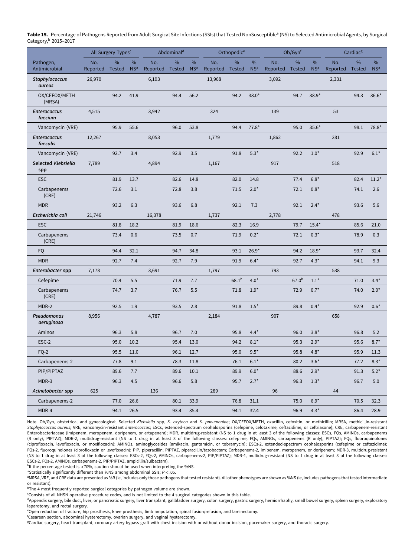<span id="page-13-0"></span>Table 15. Percentage of Pathogens Reported from Adult Surgical Site Infections (SSIs) that Tested NonSusceptible<sup>a</sup> (NS) to Selected Antimicrobial Agents, by Surgical Category,<sup>b</sup> 2015–2017

|                                 |                    | All Surgery Types <sup>c</sup> |                 | Abdominal <sup>d</sup>   |      | Orthopedic <sup>e</sup> |                    | Ob/Gynf       |                 |                          | Cardiac <sup>g</sup> |                 |                   |               |                 |
|---------------------------------|--------------------|--------------------------------|-----------------|--------------------------|------|-------------------------|--------------------|---------------|-----------------|--------------------------|----------------------|-----------------|-------------------|---------------|-----------------|
| Pathogen,                       | No.                | $\frac{0}{0}$                  | %               | No.                      | $\%$ | %                       | No.                | %             | $\%$            | No.                      | $\%$                 | %               | No.               | %             | %               |
| Antimicrobial<br>Staphylococcus | Reported<br>26,970 | Tested                         | NS <sup>a</sup> | Reported Tested<br>6,193 |      | NS <sup>a</sup>         | Reported<br>13,968 | <b>Tested</b> | NS <sup>a</sup> | Reported Tested<br>3,092 |                      | NS <sup>a</sup> | Reported<br>2,331 | <b>Tested</b> | NS <sup>a</sup> |
| aureus                          |                    |                                |                 |                          |      |                         |                    |               |                 |                          |                      |                 |                   |               |                 |
| OX/CEFOX/METH<br>(MRSA)         |                    | 94.2                           | 41.9            |                          | 94.4 | 56.2                    |                    | 94.2          | $38.0*$         |                          | 94.7                 | $38.9*$         |                   | 94.3          | $36.6*$         |
| <b>Enterococcus</b><br>faecium  | 4,515              |                                |                 | 3,942                    |      |                         | 324                |               |                 | 139                      |                      |                 | 53                |               |                 |
| Vancomycin (VRE)                |                    | 95.9                           | 55.6            |                          | 96.0 | 53.8                    |                    | 94.4          | $77.8*$         |                          | 95.0                 | $35.6*$         |                   | 98.1          | $78.8*$         |
| <b>Enterococcus</b><br>faecalis | 12,267             |                                |                 | 8,053                    |      |                         | 1,779              |               |                 | 1,862                    |                      |                 | 281               |               |                 |
| Vancomycin (VRE)                |                    | 92.7                           | 3.4             |                          | 92.9 | 3.5                     |                    | 91.8          | $5.3*$          |                          | 92.2                 | $1.0*$          |                   | 92.9          | $6.1*$          |
| Selected Klebsiella<br>spp      | 7,789              |                                |                 | 4,894                    |      |                         | 1,167              |               |                 | 917                      |                      |                 | 518               |               |                 |
| <b>ESC</b>                      |                    | 81.9                           | 13.7            |                          | 82.6 | 14.8                    |                    | 82.0          | 14.8            |                          | 77.4                 | $6.8*$          |                   | 82.4          | $11.2*$         |
| Carbapenems<br>(CRE)            |                    | 72.6                           | 3.1             |                          | 72.8 | 3.8                     |                    | 71.5          | $2.0*$          |                          | 72.1                 | $0.8*$          |                   | 74.1          | 2.6             |
| <b>MDR</b>                      |                    | 93.2                           | 6.3             |                          | 93.6 | 6.8                     |                    | 92.1          | 7.3             |                          | 92.1                 | $2.4*$          |                   | 93.6          | 5.6             |
| Escherichia coli                | 21,746             |                                |                 | 16,378                   |      |                         | 1,737              |               |                 | 2,778                    |                      |                 | 478               |               |                 |
| <b>ESC</b>                      |                    | 81.8                           | 18.2            |                          | 81.9 | 18.6                    |                    | 82.3          | 16.9            |                          | 79.7                 | $15.4*$         |                   | 85.6          | 21.0            |
| Carbapenems<br>(CRE)            |                    | 73.4                           | 0.6             |                          | 73.5 | 0.7                     |                    | 71.9          | $0.2*$          |                          | 72.1                 | $0.3*$          |                   | 78.9          | 0.3             |
| <b>FQ</b>                       |                    | 94.4                           | 32.1            |                          | 94.7 | 34.8                    |                    | 93.1          | $26.9*$         |                          | 94.2                 | $18.9*$         |                   | 93.7          | 32.4            |
| <b>MDR</b>                      |                    | 92.7                           | 7.4             |                          | 92.7 | 7.9                     |                    | 91.9          | $6.4*$          |                          | 92.7                 | $4.3*$          |                   | 94.1          | 9.3             |
| Enterobacter spp                | 7,178              |                                |                 | 3,691                    |      |                         | 1,797              |               |                 | 793                      |                      |                 | 538               |               |                 |
| Cefepime                        |                    | 70.4                           | 5.5             |                          | 71.9 | 7.7                     |                    | $68.1^h$      | $4.0*$          |                          | 67.0 <sup>h</sup>    | $1.1*$          |                   | 71.0          | $3.4*$          |
| Carbapenems<br>(CRE)            |                    | 74.7                           | 3.7             |                          | 76.7 | 5.5                     |                    | 71.8          | $1.9*$          |                          | 72.9                 | $0.7*$          |                   | 74.0          | $2.0*$          |
| MDR-2                           |                    | 92.5                           | 1.9             |                          | 93.5 | 2.8                     |                    | 91.8          | $1.5*$          |                          | 89.8                 | $0.4*$          |                   | 92.9          | $0.6*$          |
| Pseudomonas<br>aeruginosa       | 8,956              |                                |                 | 4,787                    |      |                         | 2,184              |               |                 | 907                      |                      |                 | 658               |               |                 |
| Aminos                          |                    | 96.3                           | 5.8             |                          | 96.7 | 7.0                     |                    | 95.8          | $4.4*$          |                          | 96.0                 | $3.8*$          |                   | 96.8          | 5.2             |
| ESC-2                           |                    | 95.0                           | 10.2            |                          | 95.4 | 13.0                    |                    | 94.2          | $8.1*$          |                          | 95.3                 | $2.9*$          |                   | 95.6          | $8.7*$          |
| FQ-2                            |                    | 95.5                           | 11.0            |                          | 96.1 | 12.7                    |                    | 95.0          | $9.5*$          |                          | 95.8                 | $4.8*$          |                   | 95.9          | 11.3            |
| Carbapenems-2                   |                    | 77.8                           | 9.1             |                          | 78.3 | $11.8\,$                |                    | $\bf 76.1$    | $6.1^{\star}$   |                          | 80.2                 | $3.6*$          |                   | 77.2          | $8.3*$          |
| PIP/PIPTAZ                      |                    | 89.6                           | 7.7             |                          | 89.6 | 10.1                    |                    | 89.9          | $6.0*$          |                          | 88.6                 | $2.9*$          |                   | 91.3          | $5.2*$          |
| MDR-3                           |                    | 96.3                           | 4.5             |                          | 96.6 | 5.8                     |                    | 95.7          | $2.7*$          |                          | 96.3                 | $1.3*$          |                   | 96.7          | 5.0             |
| Acinetobacter spp               | 625                |                                |                 | 136                      |      |                         | 289                |               |                 | 96                       |                      |                 | 44                |               |                 |
| Carbapenems-2                   |                    | 77.0                           | 26.6            |                          | 80.1 | 33.9                    |                    | 76.8          | 31.1            |                          | 75.0                 | $6.9*$          |                   | 70.5          | 32.3            |
| MDR-4                           |                    | 94.1                           | 26.5            |                          | 93.4 | 35.4                    |                    | 94.1          | 32.4            |                          | 96.9                 | $4.3*$          |                   | 86.4          | 28.9            |

Note. Ob/Gyn, obstetrical and gynecological; Selected Klebsiella spp, K. oxytoca and K. pneumoniae; OX/CEFOX/METH, oxacillin, cefoxitin, or methicillin; MRSA, methicillin-resistant Staphylococcus aureus; VRE, vancomycin-resistant Enterococcus; ESCs, extended-spectrum cephalosporins (cefepime, cefotaxime, ceftazidime, or ceftriaxone); CRE, carbapenem-resistant Enterobacteriaceae (imipenem, meropenem, doripenem, or ertapenem); MDR, multidrug-resistant (NS to 1 drug in at least 3 of the following classes: ESCs, FQs, AMINOs, carbapenems (R only), PIPTAZ); MDR-2, multidrug-resistant (NS to 1 drug in at least 3 of the following classes: cefepime, FQs, AMINOs, carbapenems (R only), PIPTAZ); FQs, fluoroquinolones (ciprofloxacin, levofloxacin, or moxifloxacin); AMINOs, aminoglycosides (amikacin, gentamicin, or tobramycin); ESCs-2, extended-spectrum cephalosporins (cefepime or ceftazidime); FQs-2, fluoroquinolones (ciprofloxacin or levofloxacin); PIP, piperacillin; PIPTAZ, piperacillin/tazobactam; Carbapenems-2, imipenem, meropenem, or doripenem; MDR-3, multidrug-resistant (NS to 1 drug in at least 3 of the following classes: ESCs-2, FQs-2, AMINOs, carbapenems-2, PIP/PIPTAZ); MDR-4, multidrug-resistant (NS to 1 drug in at least 3 of the following classes: ESCs-2, FQs-2, AMINOs, carbapenems-2, PIP/PIPTAZ, ampicillin/sulbactam).

hIf the percentage tested is <70%, caution should be used when interpreting the %NS.

\*Statistically significantly different than %NS among abdominal SSIs;  $P < 0.05$ .

<sup>a</sup>MRSA, VRE, and CRE data are presented as %R (ie, includes only those pathogens that tested resistant). All other phenotypes are shown as %NS (ie, includes pathogens that tested intermediate or resistant).

<sup>b</sup>The 4 most frequently reported surgical categories by pathogen volume are shown.

c Consists of all NHSN operative procedure codes, and is not limited to the 4 surgical categories shown in this table.

dAppendix surgery, bile duct, liver, or pancreatic surgery, liver transplant, gallbladder surgery, colon surgery, gastric surgery, herniorrhaphy, small bowel surgery, spleen surgery, exploratory laparotomy, and rectal surgery.

e Open reduction of fracture, hip prosthesis, knee prosthesis, limb amputation, spinal fusion/refusion, and laminectomy.

f Cesarean section, abdominal hysterectomy, ovarian surgery, and vaginal hysterectomy.

g Cardiac surgery, heart transplant, coronary artery bypass graft with chest incision with or without donor incision, pacemaker surgery, and thoracic surgery.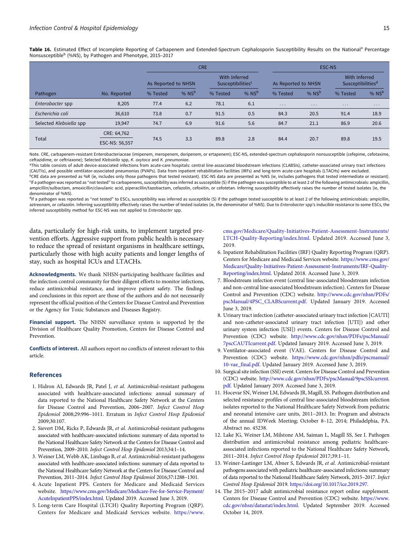<span id="page-14-0"></span>Table 16. Estimated Effect of Incomplete Reporting of Carbapenem and Extended-Spectrum Cephalosporin Susceptibility Results on the National<sup>a</sup> Percentage Nonsusceptible<sup>b</sup> (%NS), by Pathogen and Phenotype, 2015–2017

|                         |                |                     |         | <b>CRE</b>                                           |         | <b>ESC-NS</b>       |                         |                                                |          |  |  |
|-------------------------|----------------|---------------------|---------|------------------------------------------------------|---------|---------------------|-------------------------|------------------------------------------------|----------|--|--|
|                         |                | As Reported to NHSN |         | With Inferred<br><b>Susceptibilities<sup>c</sup></b> |         | As Reported to NHSN |                         | With Inferred<br>Susceptibilities <sup>d</sup> |          |  |  |
| Pathogen                | No. Reported   | % Tested            | % $NSb$ | % Tested                                             | % $NSb$ | % Tested            | % $NSb$                 | % Tested                                       | % $NSb$  |  |  |
| Enterobacter spp        | 8,205          | 77.4                | 6.2     | 78.1                                                 | 6.1     | $\cdots$            | $\cdot$ $\cdot$ $\cdot$ | $\cdot$ $\cdot$ $\cdot$                        | $\cdots$ |  |  |
| Escherichia coli        | 36,610         | 73.8                | 0.7     | 91.5                                                 | 0.5     | 84.3                | 20.5                    | 91.4                                           | 18.9     |  |  |
| Selected Klebsiella spp | 19,947         | 74.7                | 6.9     | 91.6                                                 | 5.6     | 84.7                | 21.1                    | 86.9                                           | 20.6     |  |  |
| Total                   | CRE: 64,762    |                     | 3.3     |                                                      |         |                     | 20.7                    | 89.8                                           |          |  |  |
|                         | ESC-NS: 56,557 | 74.5                |         | 89.8                                                 | 2.8     | 84.4                |                         |                                                | 19.5     |  |  |

Note. CRE, carbapenem-resistant Enterobacteriaceae (imipenem, meropenem, doripenem, or ertapenem); ESC-NS, extended-spectrum cephalosporin nonsusceptible (cefepime, cefotaxime, ceftazidime, or ceftriaxone); Selected Klebsiella spp, K. oxytoca and K. pneumoniae.

aThis table consists of adult device-associated infections from acute-care hospitals: central line-associated bloodstream infections (CLABSIs), catheter-associated urinary tract infections (CAUTIs), and possible ventilator-associated pneumonias (PVAPs). Data from inpatient rehabilitation facilities (IRFs) and long-term acute-care hospitals (LTACHs) were excluded. <sup>b</sup>CRE data are presented as %R (ie, includes only those pathogens that tested resistant). ESC-NS data are presented as %NS (ie, includes pathogens that tested intermediate or resistant). c If a pathogen was reported as "not tested" to carbapenems, susceptibility was inferred as susceptible (S) if the pathogen was susceptible to at least 2 of the following antimicrobials: ampicillin, ampicillin/sulbactam, amoxicillin/clavulanic acid, piperacillin/tazobactam, cefazolin, cefoxitin, or cefotetan. Inferring susceptibility effectively raises the number of tested isolates (ie, the denominator of %NS).

<sup>d</sup>If a pathogen was reported as "not tested" to ESCs, susceptibility was inferred as susceptible (S) if the pathogen tested susceptible to at least 2 of the following antimicrobials: ampicilin, aztreonam, or cefazolin. Inferring susceptibility effectively raises the number of tested isolates (ie, the denominator of %NS). Due to Enterobacter spp's inducible resistance to some ESCs, the inferred susceptibility method for ESC-NS was not applied to Enterobacter spp.

data, particularly for high-risk units, to implement targeted prevention efforts. Aggressive support from public health is necessary to reduce the spread of resistant organisms in healthcare settings, particularly those with high acuity patients and longer lengths of stay, such as hospital ICUs and LTACHs.

Acknowledgments. We thank NHSN-participating healthcare facilities and the infection control community for their diligent efforts to monitor infections, reduce antimicrobial resistance, and improve patient safety. The findings and conclusions in this report are those of the authors and do not necessarily represent the official position of the Centers for Disease Control and Prevention or the Agency for Toxic Substances and Diseases Registry.

Financial support. The NHSN surveillance system is supported by the Division of Healthcare Quality Promotion, Centers for Disease Control and Prevention.

Conflicts of interest. All authors report no conflicts of interest relevant to this article.

#### References

- 1. Hidron AI, Edwards JR, Patel J, et al. Antimicrobial-resistant pathogens associated with healthcare-associated infections: annual summary of data reported to the National Healthcare Safety Network at the Centers for Disease Control and Prevention, 2006–2007. Infect Control Hosp Epidemiol 2008;29:996–1011. Erratum in Infect Control Hosp Epidemiol 2009;30:107.
- 2. Sievert DM, Ricks P, Edwards JR, et al. Antimicrobial-resistant pathogens associated with healthcare-associated infections: summary of data reported to the National Healthcare Safety Network at the Centers for Disease Control and Prevention, 2009–2010. Infect Control Hosp Epidemiol 2013;34:1–14.
- 3. Weiner LM, Webb AK, Limbago B, et al. Antimicrobial-resistant pathogens associated with healthcare-associated infections: summary of data reported to the National Healthcare Safety Network at the Centers for Disease Control and Prevention, 2011–2014. Infect Control Hosp Epidemiol 2016;37:1288–1301.
- 4. Acute Inpatient PPS. Centers for Medicare and Medicaid Services website. [https://www.cms.gov/Medicare/Medicare-Fee-for-Service-Payment/](https://www.cms.gov/Medicare/Medicare-Fee-for-Service-Payment/AcuteInpatientPPS/index.html) [AcuteInpatientPPS/index.html.](https://www.cms.gov/Medicare/Medicare-Fee-for-Service-Payment/AcuteInpatientPPS/index.html) Updated 2019. Accessed June 3, 2019.
- 5. Long-term Care Hospital (LTCH) Quality Reporting Program (QRP). Centers for Medicare and Medicaid Services website. [https://www.](https://www.cms.gov/Medicare/Quality-Initiatives-Patient-Assessment-Instruments/LTCH-Quality-Reporting/index.html)

[cms.gov/Medicare/Quality-Initiatives-Patient-Assessment-Instruments/](https://www.cms.gov/Medicare/Quality-Initiatives-Patient-Assessment-Instruments/LTCH-Quality-Reporting/index.html) [LTCH-Quality-Reporting/index.html.](https://www.cms.gov/Medicare/Quality-Initiatives-Patient-Assessment-Instruments/LTCH-Quality-Reporting/index.html) Updated 2019. Accessed June 3, 2019.

- 6. Inpatient Rehabilitation Facilities (IRF) Quality Reporting Program (QRP). Centers for Medicare and Medicaid Services website. [https://www.cms.gov/](https://www.cms.gov/Medicare/Quality-Initiatives-Patient-Assessment-Instruments/IRF-Quality-Reporting/index.html) [Medicare/Quality-Initiatives-Patient-Assessment-Instruments/IRF-Quality-](https://www.cms.gov/Medicare/Quality-Initiatives-Patient-Assessment-Instruments/IRF-Quality-Reporting/index.html)[Reporting/index.html.](https://www.cms.gov/Medicare/Quality-Initiatives-Patient-Assessment-Instruments/IRF-Quality-Reporting/index.html) Updated 2018. Accessed June 3, 2019.
- 7. Bloodstream infection event (central line-associated bloodstream infection and non-central line-associated bloodstream infection). Centers for Disease Control and Prevention (CDC) website. [http://www.cdc.gov/nhsn/PDFs/](http://www.cdc.gov/nhsn/PDFs/pscManual/4PSC_CLABScurrent.pdf) [pscManual/4PSC\\_CLABScurrent.pdf.](http://www.cdc.gov/nhsn/PDFs/pscManual/4PSC_CLABScurrent.pdf) Updated January 2019. Accessed June 3, 2019.
- 8. Urinary tract infection (catheter-associated urinary tract infection [CAUTI] and non-catheter-associated urinary tract infection [UTI]) and other urinary system infection [USI]) events. Centers for Disease Control and Prevention (CDC) website. [http://www.cdc.gov/nhsn/PDFs/pscManual/](http://www.cdc.gov/nhsn/PDFs/pscManual/7pscCAUTIcurrent.pdf) [7pscCAUTIcurrent.pdf](http://www.cdc.gov/nhsn/PDFs/pscManual/7pscCAUTIcurrent.pdf). Updated January 2019. Accessed June 3, 2019.
- 9. Ventilator-associated event (VAE). Centers for Disease Control and Prevention (CDC) website. [https://www.cdc.gov/nhsn/pdfs/pscmanual/](https://www.cdc.gov/nhsn/pdfs/pscmanual/10-vae_final.pdf) [10-vae\\_final.pdf.](https://www.cdc.gov/nhsn/pdfs/pscmanual/10-vae_final.pdf) Updated January 2019. Accessed June 3, 2019.
- 10. Surgical site infection (SSI) event. Centers for Disease Control and Prevention (CDC) website. [http://www.cdc.gov/nhsn/PDFs/pscManual/9pscSSIcurrent.](http://www.cdc.gov/nhsn/PDFs/pscManual/9pscSSIcurrent.pdf) [pdf](http://www.cdc.gov/nhsn/PDFs/pscManual/9pscSSIcurrent.pdf). Updated January 2019. Accessed June 3, 2019.
- 11. Hocevar SN, Weiner LM, Edwards JR, Magill, SS. Pathogen distribution and selected resistance profiles of central line-associated bloodstream infection isolates reported to the National Healthcare Safety Network from pediatric and neonatal intensive care units, 2011–2013. In: Program and abstracts of the annual IDWeek Meeting; October 8–12, 2014; Philadelphia, PA. Abstract no. 45238.
- 12. Lake JG, Weiner LM, Milstone AM, Saiman L, Magill SS, See I. Pathogen distribution and antimicrobial resistance among pediatric healthcareassociated infections reported to the National Healthcare Safety Network, 2011–2014. Infect Control Hosp Epidemiol 2017;39:1–11.
- 13. Weiner-Lastinger LM, Abner S, Edwards JR, et al. Antimicrobial-resistant pathogens associated with pediatric healthcare-associated infections: summary of data reported to the National Healthcare Safety Network, 2015–2017. Infect Control Hosp Epidemiol 2019. <https://doi.org/10.1017/ice.2019.297>.
- 14. The 2015–2017 adult antimicrobial resistance report online supplement. Centers for Disease Control and Prevention (CDC) website. [https://www.](https://www.cdc.gov/nhsn/datastat/index.html) [cdc.gov/nhsn/datastat/index.html.](https://www.cdc.gov/nhsn/datastat/index.html) Updated September 2019. Accessed October 14, 2019.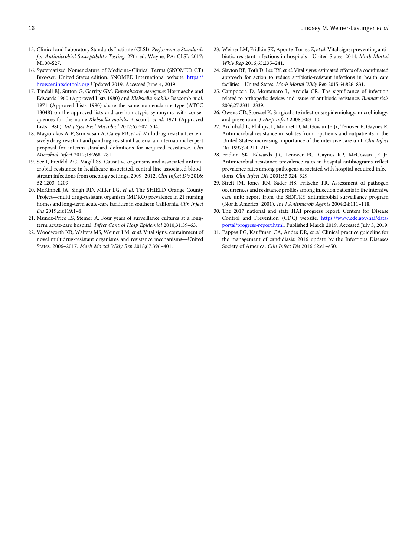- <span id="page-15-0"></span>15. Clinical and Laboratory Standards Institute (CLSI). Performance Standards for Antimicrobial Susceptibility Testing. 27th ed. Wayne, PA: CLSI; 2017: M100-S27.
- 16. Systematized Nomenclature of Medicine–Clinical Terms (SNOMED CT) Browser: United States edition. SNOMED International website. [https://](https://browser.ihtsdotools.org) [browser.ihtsdotools.org](https://browser.ihtsdotools.org) Updated 2019. Accessed June 4, 2019.
- 17. Tindall BJ, Sutton G, Garrity GM. Enterobacter aerogenes Hormaeche and Edwards 1960 (Approved Lists 1980) and Klebsiella mobilis Bascomb et al. 1971 (Approved Lists 1980) share the same nomenclature type (ATCC 13048) on the approved lists and are homotypic synonyms, with consequences for the name Klebsiella mobilis Bascomb et al. 1971 (Approved Lists 1980). Int J Syst Evol Microbiol 2017;67:502–504.
- 18. Magiorakos A-P, Srinivasan A, Carey RB, et al. Multidrug-resistant, extensively drug-resistant and pandrug-resistant bacteria: an international expert proposal for interim standard definitions for acquired resistance. Clin Microbiol Infect 2012;18:268–281.
- 19. See I, Freifeld AG, Magill SS. Causative organisms and associated antimicrobial resistance in healthcare-associated, central line-associated bloodstream infections from oncology settings, 2009–2012. *Clin Infect Dis* 2016;<br>62:1203–1209.<br>McKinnell JA, Singh RD, Miller LG, *et al*. The SHIELD Orange County<br>Project—multi drug-resistant organism (MDRO) prevalence in 21 62:1203–1209.
- 20. McKinnell JA, Singh RD, Miller LG, *et al.* The SHIELD Orange County Project—multi drug-resistant organism (MDRO) prevalence in 21 nursing homes and long-term acute-care facilities in southern California. Clin Infect Dis 2019;ciz119:1–8.
- term acute-care hospital. Infect Control Hosp Epidemiol 2010;31:59–63.
- 21. Munoz-Price LS, Stemer A. Four years of surveillance cultures at a long-<br>term acute-care hospital. *Infect Control Hosp Epidemiol* 2010;31:59–63.<br>22. Woodworth KR, Walters MS, Weiner LM, *et al*. Vital signs: containme 22. Woodworth KR, Walters MS, Weiner LM, et al. Vital signs: containment of States, 2006–2017. Morb Mortal Wkly Rep 2018;67:396–401.
- 23. Weiner LM, Fridkin SK, Aponte-Torres Z, et al. Vital signs: preventing antibiotic-resistant infections in hospitals—United States, 2014. Morb Mortal Wkly Rep 2016;65:235–241.
- 24. Slayton RB, Toth D, Lee BY, *et al*. Vital signs: estimated effects of a coordinated approach for action to reduce antibiotic-resistant infections in health care Wkly Rep 2016;65:235-241.<br>Slayton RB, Toth D, Lee BY, et al. Vital signs: estimated effects of a capproach for action to reduce antibiotic-resistant infections in facilities—United States. Morb Mortal Wkly Rep 2015;64:826-
- 25. Campoccia D, Montanaro L, Arciola CR. The significance of infection related to orthopedic devices and issues of antibiotic resistance. Biomaterials 2006;27:2331–2339.
- 26. Owens CD, Stoessel K. Surgical site infections: epidemiology, microbiology, and prevention. J Hosp Infect 2008;70:3–10.
- 27. Archibald L, Phillips, L, Monnet D, McGowan JE Jr, Tenover F, Gaynes R. Antimicrobial resistance in isolates from inpatients and outpatients in the United States: increasing importance of the intensive care unit. Clin Infect Dis 1997;24:211–215.
- 28. Fridkin SK, Edwards JR, Tenover FC, Gaynes RP, McGowan JE Jr. Antimicrobial resistance prevalence rates in hospital antibiograms reflect prevalence rates among pathogens associated with hospital-acquired infections. Clin Infect Dis 2001;33:324–329.
- 29. Streit JM, Jones RN, Sader HS, Fritsche TR. Assessment of pathogen occurrences and resistance profiles among infection patients in the intensive care unit: report from the SENTRY antimicrobial surveillance program (North America, 2001). Int J Antimicrob Agents 2004;24:111–118.
- 30. The 2017 national and state HAI progress report. Centers for Disease Control and Prevention (CDC) website. [https://www.cdc.gov/hai/data/](https://www.cdc.gov/hai/data/portal/progress-report.html) [portal/progress-report.html](https://www.cdc.gov/hai/data/portal/progress-report.html). Published March 2019. Accessed July 3, 2019.
- 31. Pappas PG, Kauffman CA, Andes DR, et al. Clinical practice guideline for the management of candidiasis: 2016 update by the Infectious Diseases Society of America. Clin Infect Dis 2016;62:e1–e50.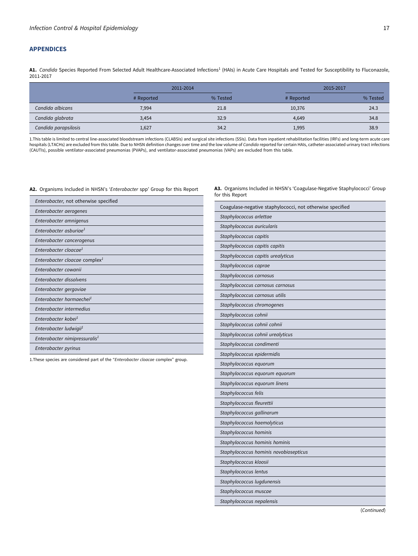# <span id="page-16-0"></span>APPENDICES

A1. Candida Species Reported From Selected Adult Healthcare-Associated Infections<sup>1</sup> (HAIs) in Acute Care Hospitals and Tested for Susceptibility to Fluconazole, 2011-2017

|                      | 2011-2014  |          | 2015-2017  |          |  |  |  |
|----------------------|------------|----------|------------|----------|--|--|--|
|                      | # Reported | % Tested | # Reported | % Tested |  |  |  |
| Candida albicans     | 7,994      | 21.8     | 10,376     | 24.3     |  |  |  |
| Candida glabrata     | 3,454      | 32.9     | 4.649      | 34.8     |  |  |  |
| Candida parapsilosis | 1,627      | 34.2     | 1,995      | 38.9     |  |  |  |

1.This table is limited to central line-associated bloodstream infections (CLABSIs) and surgical site infections (SSIs). Data from inpatient rehabilitation facilities (IRFs) and long-term acute care<br>hospitals (LTACHs) are (CAUTIs), possible ventilator-associated pneumonias (PVAPs), and ventilator-associated pneumonias (VAPs) are excluded from this table.

#### A2. Organisms Included in NHSN's 'Enterobacter spp' Group for this Report

| Enterobacter, not otherwise specified     |
|-------------------------------------------|
| Enterobacter aerogenes                    |
| Enterobacter amnigenus                    |
| Enterobacter asburiae <sup>1</sup>        |
| Enterobacter cancerogenus                 |
| Enterobacter cloacae <sup>1</sup>         |
| Enterobacter cloacae complex <sup>1</sup> |
| Enterobacter cowanii                      |
| Enterobacter dissolvens                   |
| Enterobacter gergoviae                    |
| Enterobacter hormaechei <sup>1</sup>      |
| Enterobacter intermedius                  |
| Enterobacter kobei <sup>1</sup>           |
| Enterobacter ludwigii <sup>1</sup>        |
| Enterobacter nimipressuralis <sup>1</sup> |
| Enterobacter pyrinus                      |

1. These species are considered part of the "Enterobacter cloacae complex" group.

A3. Organisms Included in NHSN's 'Coagulase-Negative Staphylococci' Group for this Report

| Coagulase-negative staphylococci, not otherwise specified |
|-----------------------------------------------------------|
| Staphylococcus arlettae                                   |
| Staphylococcus auricularis                                |
| Staphylococcus capitis                                    |
| Staphylococcus capitis capitis                            |
| Staphylococcus capitis urealyticus                        |
| Staphylococcus caprae                                     |
| Staphylococcus carnosus                                   |
| Staphylococcus carnosus carnosus                          |
| Staphylococcus carnosus utilis                            |
| Staphylococcus chromogenes                                |
| Staphylococcus cohnii                                     |
| Staphylococcus cohnii cohnii                              |
| Staphylococcus cohnii urealyticus                         |
| Staphylococcus condimenti                                 |
| Staphylococcus epidermidis                                |
| Staphylococcus equorum                                    |
| Staphylococcus equorum equorum                            |
| Staphylococcus equorum linens                             |
| Staphylococcus felis                                      |
| Staphylococcus fleurettii                                 |
| Staphylococcus gallinarum                                 |
| Staphylococcus haemolyticus                               |
| Staphylococcus hominis                                    |
| Staphylococcus hominis hominis                            |
| Staphylococcus hominis novobiosepticus                    |
| Staphylococcus kloosii                                    |
| Staphylococcus lentus                                     |
| Staphylococcus lugdunensis                                |
| Staphylococcus muscae                                     |
| Staphylococcus nepalensis                                 |